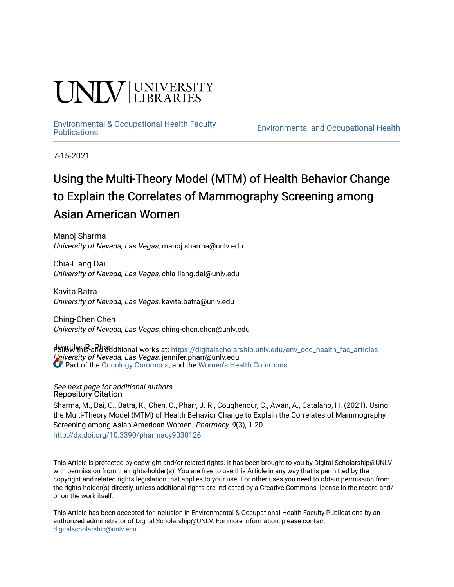# **INIVERSITY**

# [Environmental & Occupational Health Faculty](https://digitalscholarship.unlv.edu/env_occ_health_fac_articles)

**Environmental and Occupational Health** 

7-15-2021

# Using the Multi-Theory Model (MTM) of Health Behavior Change to Explain the Correlates of Mammography Screening among Asian American Women

Manoj Sharma University of Nevada, Las Vegas, manoj.sharma@unlv.edu

Chia-Liang Dai University of Nevada, Las Vegas, chia-liang.dai@unlv.edu

Kavita Batra University of Nevada, Las Vegas, kavita.batra@unlv.edu

Ching-Chen Chen University of Nevada, Las Vegas, ching-chen.chen@unlv.edu

dennifer R<sub>a</sub>Rharr University of Nevada, Las Vegas, jennifer.pharr@unlv.edu Follow this and additional works at: [https://digitalscholarship.unlv.edu/env\\_occ\\_health\\_fac\\_articles](https://digitalscholarship.unlv.edu/env_occ_health_fac_articles?utm_source=digitalscholarship.unlv.edu%2Fenv_occ_health_fac_articles%2F679&utm_medium=PDF&utm_campaign=PDFCoverPages)  Part of the [Oncology Commons,](http://network.bepress.com/hgg/discipline/694?utm_source=digitalscholarship.unlv.edu%2Fenv_occ_health_fac_articles%2F679&utm_medium=PDF&utm_campaign=PDFCoverPages) and the [Women's Health Commons](http://network.bepress.com/hgg/discipline/1241?utm_source=digitalscholarship.unlv.edu%2Fenv_occ_health_fac_articles%2F679&utm_medium=PDF&utm_campaign=PDFCoverPages) 

#### See next page for additional authors Repository Citation

Sharma, M., Dai, C., Batra, K., Chen, C., Pharr, J. R., Coughenour, C., Awan, A., Catalano, H. (2021). Using the Multi-Theory Model (MTM) of Health Behavior Change to Explain the Correlates of Mammography Screening among Asian American Women. Pharmacy, 9(3), 1-20. <http://dx.doi.org/10.3390/pharmacy9030126>

This Article is protected by copyright and/or related rights. It has been brought to you by Digital Scholarship@UNLV with permission from the rights-holder(s). You are free to use this Article in any way that is permitted by the copyright and related rights legislation that applies to your use. For other uses you need to obtain permission from the rights-holder(s) directly, unless additional rights are indicated by a Creative Commons license in the record and/ or on the work itself.

This Article has been accepted for inclusion in Environmental & Occupational Health Faculty Publications by an authorized administrator of Digital Scholarship@UNLV. For more information, please contact [digitalscholarship@unlv.edu](mailto:digitalscholarship@unlv.edu).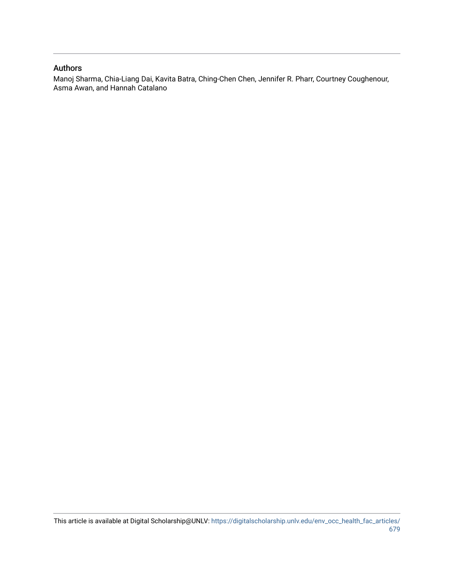### Authors

Manoj Sharma, Chia-Liang Dai, Kavita Batra, Ching-Chen Chen, Jennifer R. Pharr, Courtney Coughenour, Asma Awan, and Hannah Catalano

This article is available at Digital Scholarship@UNLV: [https://digitalscholarship.unlv.edu/env\\_occ\\_health\\_fac\\_articles/](https://digitalscholarship.unlv.edu/env_occ_health_fac_articles/679) [679](https://digitalscholarship.unlv.edu/env_occ_health_fac_articles/679)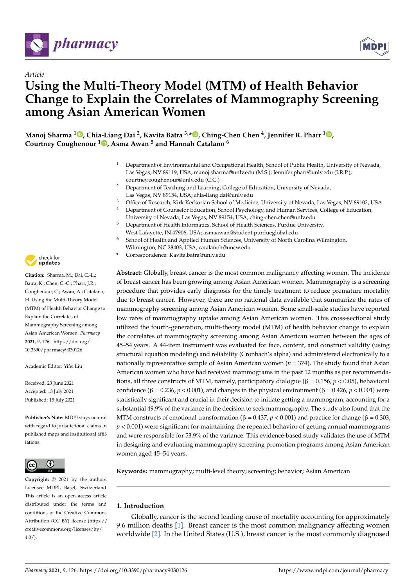



# *Article* **Using the Multi-Theory Model (MTM) of Health Behavior Change to Explain the Correlates of Mammography Screening among Asian American Women**

**Manoj Sharma <sup>1</sup> [,](https://orcid.org/0000-0002-4624-2414) Chia-Liang Dai <sup>2</sup> , Kavita Batra 3,\* [,](https://orcid.org/0000-0002-0722-0191) Ching-Chen Chen <sup>4</sup> , Jennifer R. Pharr <sup>1</sup> [,](https://orcid.org/0000-0002-0383-2641) Courtney Coughenour <sup>1</sup> [,](https://orcid.org/0000-0001-6979-4660) Asma Awan <sup>5</sup> and Hannah Catalano <sup>6</sup>**

- <sup>1</sup> Department of Environmental and Occupational Health, School of Public Health, University of Nevada, Las Vegas, NV 89119, USA; manoj.sharma@unlv.edu (M.S.); Jennifer.pharr@unlv.edu (J.R.P.); courtney.coughenour@unlv.edu (C.C.)
- <sup>2</sup> Department of Teaching and Learning, College of Education, University of Nevada, Las Vegas, NV 89154, USA; chia-liang.dai@unlv.edu
- <sup>3</sup> Office of Research, Kirk Kerkorian School of Medicine, University of Nevada, Las Vegas, NV 89102, USA
- <sup>4</sup> Department of Counselor Education, School Psychology, and Human Services, College of Education, University of Nevada, Las Vegas, NV 89154, USA; ching-chen.chen@unlv.edu
- <sup>5</sup> Department of Health Informatics, School of Health Sciences, Purdue University, West Lafayette, IN 47906, USA; asmaawan@student.purdueglobal.edu
- School of Health and Applied Human Sciences, University of North Carolina Wilmington, Wilmington, NC 28403, USA; catalanoh@uncw.edu
- **\*** Correspondence: Kavita.batra@unlv.edu

**Abstract:** Globally, breast cancer is the most common malignancy affecting women. The incidence of breast cancer has been growing among Asian American women. Mammography is a screening procedure that provides early diagnosis for the timely treatment to reduce premature mortality due to breast cancer. However, there are no national data available that summarize the rates of mammography screening among Asian American women. Some small-scale studies have reported low rates of mammography uptake among Asian American women. This cross-sectional study utilized the fourth-generation, multi-theory model (MTM) of health behavior change to explain the correlates of mammography screening among Asian American women between the ages of 45–54 years. A 44-item instrument was evaluated for face, content, and construct validity (using structural equation modeling) and reliability (Cronbach's alpha) and administered electronically to a nationally representative sample of Asian American women ( $n = 374$ ). The study found that Asian American women who have had received mammograms in the past 12 months as per recommendations, all three constructs of MTM, namely, participatory dialogue (β = 0.156, *p* < 0.05), behavioral confidence (β = 0.236,  $p$  < 0.001), and changes in the physical environment (β = 0.426,  $p$  < 0.001) were statistically significant and crucial in their decision to initiate getting a mammogram, accounting for a substantial 49.9% of the variance in the decision to seek mammography. The study also found that the MTM constructs of emotional transformation (β = 0.437, *p* < 0.001) and practice for change (β = 0.303,  $p < 0.001$ ) were significant for maintaining the repeated behavior of getting annual mammograms and were responsible for 53.9% of the variance. This evidence-based study validates the use of MTM in designing and evaluating mammography screening promotion programs among Asian American women aged 45–54 years.

**Keywords:** mammography; multi-level theory; screening; behavior; Asian American

#### **1. Introduction**

Globally, cancer is the second leading cause of mortality accounting for approximately 9.6 million deaths [\[1\]](#page-19-0). Breast cancer is the most common malignancy affecting women worldwide [\[2\]](#page-19-1). In the United States (U.S.), breast cancer is the most commonly diagnosed



**Citation:** Sharma, M.; Dai, C.-L.; Batra, K.; Chen, C.-C.; Pharr, J.R.; Coughenour, C.; Awan, A.; Catalano, H. Using the Multi-Theory Model (MTM) of Health Behavior Change to Explain the Correlates of Mammography Screening among Asian American Women. *Pharmacy* **2021**, *9*, 126. [https://doi.org/](https://doi.org/10.3390/pharmacy9030126) [10.3390/pharmacy9030126](https://doi.org/10.3390/pharmacy9030126)

Academic Editor: Yifei Liu

Received: 23 June 2021 Accepted: 13 July 2021 Published: 15 July 2021

**Publisher's Note:** MDPI stays neutral with regard to jurisdictional claims in published maps and institutional affiliations.



**Copyright:** © 2021 by the authors. Licensee MDPI, Basel, Switzerland. This article is an open access article distributed under the terms and conditions of the Creative Commons Attribution (CC BY) license (https:/[/](https://creativecommons.org/licenses/by/4.0/) [creativecommons.org/licenses/by/](https://creativecommons.org/licenses/by/4.0/)  $4.0/$ ).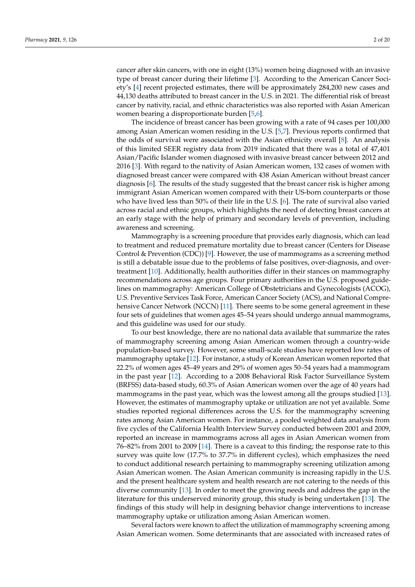cancer after skin cancers, with one in eight (13%) women being diagnosed with an invasive type of breast cancer during their lifetime [\[3\]](#page-19-2). According to the American Cancer Society's [\[4\]](#page-19-3) recent projected estimates, there will be approximately 284,200 new cases and 44,130 deaths attributed to breast cancer in the U.S. in 2021. The differential risk of breast cancer by nativity, racial, and ethnic characteristics was also reported with Asian American women bearing a disproportionate burden [\[5,](#page-19-4)[6\]](#page-19-5).

The incidence of breast cancer has been growing with a rate of 94 cases per 100,000 among Asian American women residing in the U.S. [\[5](#page-19-4)[,7\]](#page-19-6). Previous reports confirmed that the odds of survival were associated with the Asian ethnicity overall [\[8\]](#page-19-7). An analysis of this limited SEER registry data from 2019 indicated that there was a total of 47,401 Asian/Pacific Islander women diagnosed with invasive breast cancer between 2012 and 2016 [\[3\]](#page-19-2). With regard to the nativity of Asian American women, 132 cases of women with diagnosed breast cancer were compared with 438 Asian American without breast cancer diagnosis [\[6\]](#page-19-5). The results of the study suggested that the breast cancer risk is higher among immigrant Asian American women compared with their US-born counterparts or those who have lived less than 50% of their life in the U.S. [\[6\]](#page-19-5). The rate of survival also varied across racial and ethnic groups, which highlights the need of detecting breast cancers at an early stage with the help of primary and secondary levels of prevention, including awareness and screening.

Mammography is a screening procedure that provides early diagnosis, which can lead to treatment and reduced premature mortality due to breast cancer (Centers for Disease Control & Prevention (CDC)) [\[9\]](#page-19-8). However, the use of mammograms as a screening method is still a debatable issue due to the problems of false positives, over-diagnosis, and overtreatment [\[10\]](#page-19-9). Additionally, health authorities differ in their stances on mammography recommendations across age groups. Four primary authorities in the U.S. proposed guidelines on mammography: American College of Obstetricians and Gynecologists (ACOG), U.S. Preventive Services Task Force, American Cancer Society (ACS), and National Compre-hensive Cancer Network (NCCN) [\[11\]](#page-19-10). There seems to be some general agreement in these four sets of guidelines that women ages 45–54 years should undergo annual mammograms, and this guideline was used for our study.

To our best knowledge, there are no national data available that summarize the rates of mammography screening among Asian American women through a country-wide population-based survey. However, some small-scale studies have reported low rates of mammography uptake [\[12\]](#page-19-11). For instance, a study of Korean American women reported that 22.2% of women ages 45–49 years and 29% of women ages 50–54 years had a mammogram in the past year [\[12\]](#page-19-11). According to a 2008 Behavioral Risk Factor Surveillance System (BRFSS) data-based study, 60.3% of Asian American women over the age of 40 years had mammograms in the past year, which was the lowest among all the groups studied [\[13\]](#page-19-12). However, the estimates of mammography uptake or utilization are not yet available. Some studies reported regional differences across the U.S. for the mammography screening rates among Asian American women. For instance, a pooled weighted data analysis from five cycles of the California Health Interview Survey conducted between 2001 and 2009, reported an increase in mammograms across all ages in Asian American women from 76–82% from 2001 to 2009 [\[14\]](#page-19-13). There is a caveat to this finding; the response rate to this survey was quite low (17.7% to 37.7% in different cycles), which emphasizes the need to conduct additional research pertaining to mammography screening utilization among Asian American women. The Asian American community is increasing rapidly in the U.S. and the present healthcare system and health research are not catering to the needs of this diverse community [\[13\]](#page-19-12). In order to meet the growing needs and address the gap in the literature for this underserved minority group, this study is being undertaken [\[13\]](#page-19-12). The findings of this study will help in designing behavior change interventions to increase mammography uptake or utilization among Asian American women.

Several factors were known to affect the utilization of mammography screening among Asian American women. Some determinants that are associated with increased rates of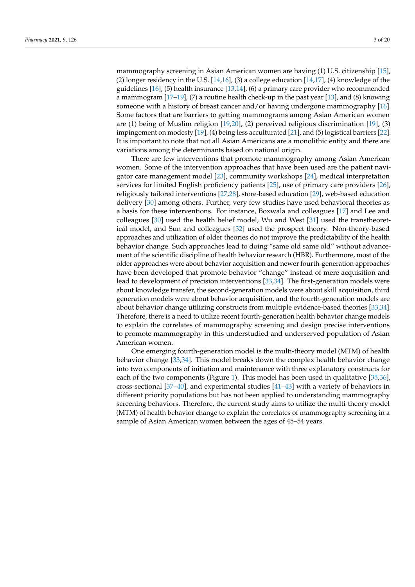mammography screening in Asian American women are having (1) U.S. citizenship [\[15\]](#page-19-14), (2) longer residency in the U.S.  $[14,16]$  $[14,16]$ , (3) a college education  $[14,17]$  $[14,17]$ , (4) knowledge of the guidelines [\[16\]](#page-20-0), (5) health insurance [\[13](#page-19-12)[,14\]](#page-19-13), (6) a primary care provider who recommended a mammogram [\[17–](#page-20-1)[19\]](#page-20-2), (7) a routine health check-up in the past year [\[13\]](#page-19-12), and (8) knowing someone with a history of breast cancer and/or having undergone mammography [\[16\]](#page-20-0). Some factors that are barriers to getting mammograms among Asian American women are (1) being of Muslim religion [\[19](#page-20-2)[,20\]](#page-20-3), (2) perceived religious discrimination [\[19\]](#page-20-2), (3) impingement on modesty [\[19\]](#page-20-2), (4) being less acculturated [\[21\]](#page-20-4), and (5) logistical barriers [\[22\]](#page-20-5). It is important to note that not all Asian Americans are a monolithic entity and there are variations among the determinants based on national origin.

There are few interventions that promote mammography among Asian American women. Some of the intervention approaches that have been used are the patient navigator care management model [\[23\]](#page-20-6), community workshops [\[24\]](#page-20-7), medical interpretation services for limited English proficiency patients [\[25\]](#page-20-8), use of primary care providers [\[26\]](#page-20-9), religiously tailored interventions [\[27,](#page-20-10)[28\]](#page-20-11), store-based education [\[29\]](#page-20-12), web-based education delivery [\[30\]](#page-20-13) among others. Further, very few studies have used behavioral theories as a basis for these interventions. For instance, Boxwala and colleagues [\[17\]](#page-20-1) and Lee and colleagues [\[30\]](#page-20-13) used the health belief model, Wu and West [\[31\]](#page-20-14) used the transtheoretical model, and Sun and colleagues [\[32\]](#page-20-15) used the prospect theory. Non-theory-based approaches and utilization of older theories do not improve the predictability of the health behavior change. Such approaches lead to doing "same old same old" without advancement of the scientific discipline of health behavior research (HBR). Furthermore, most of the older approaches were about behavior acquisition and newer fourth-generation approaches have been developed that promote behavior "change" instead of mere acquisition and lead to development of precision interventions [\[33,](#page-20-16)[34\]](#page-20-17). The first-generation models were about knowledge transfer, the second-generation models were about skill acquisition, third generation models were about behavior acquisition, and the fourth-generation models are about behavior change utilizing constructs from multiple evidence-based theories [\[33,](#page-20-16)[34\]](#page-20-17). Therefore, there is a need to utilize recent fourth-generation health behavior change models to explain the correlates of mammography screening and design precise interventions to promote mammography in this understudied and underserved population of Asian American women.

One emerging fourth-generation model is the multi-theory model (MTM) of health behavior change [\[33,](#page-20-16)[34\]](#page-20-17). This model breaks down the complex health behavior change into two components of initiation and maintenance with three explanatory constructs for each of the two components (Figure [1\)](#page-5-0). This model has been used in qualitative [\[35,](#page-20-18)[36\]](#page-20-19), cross-sectional [\[37–](#page-20-20)[40\]](#page-20-21), and experimental studies [\[41–](#page-21-0)[43\]](#page-21-1) with a variety of behaviors in different priority populations but has not been applied to understanding mammography screening behaviors. Therefore, the current study aims to utilize the multi-theory model (MTM) of health behavior change to explain the correlates of mammography screening in a sample of Asian American women between the ages of 45–54 years.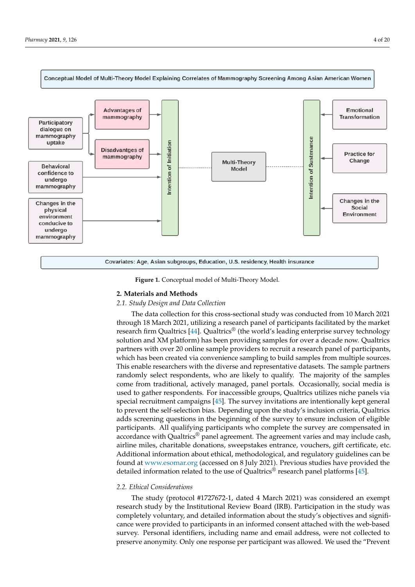<span id="page-5-0"></span>

**Figure 1.** Conceptual model of Multi-Theory Model. **Figure 1.** Conceptual model of Multi-Theory Model.

### **2. Materials and Methods 2. Materials and Methods**

## *2.1. Study Design and Data Collection 2.1. Study Design and Data Collection*

The data collection for this cross-sectional study was conducted from 10 March 2021 The data collection for this cross-sectional study was conducted from 10 March 2021 through 18 March 2021, utilizing a research panel of participants facilitated by the market through 18 March 2021, utilizing a research panel of participants facilitated by the market research firm Qualtrics [\[44\]](#page-21-2). Qualtrics<sup>®</sup> (the world's leading enterprise survey technology solution and XM platform) has been providing samples for over a decade now. Qualtrics partners with over 20 online sample providers to recruit a research panel of participants, partners with over 20 online sample providers to recruit a research panel of participants, which has been created via convenience sampling to build samples from multiple sources. which has been created via convenience sampling to build samples from multiple sources. This enable researchers with the diverse and representative datasets. The sample partners This enable researchers with the diverse and representative datasets. The sample partners randomly select respondents, who are likely to qualify. The majority of the samples randomly select respondents, who are likely to qualify. The majority of the samples come from traditional, actively managed, panel portals. Occasionally, social media is from traditional, actively managed, panel portals. Occasionally, social media is used to used to gather respondents. For inaccessible groups, Qualtrics utilizes niche panels via groups, Qualities includes the groups,  $\frac{1}{2}$  and  $\frac{1}{2}$  and  $\frac{1}{2}$  and  $\frac{1}{2}$  and  $\frac{1}{2}$  and  $\frac{1}{2}$  and  $\frac{1}{2}$  and  $\frac{1}{2}$  and  $\frac{1}{2}$  and  $\frac{1}{2}$  and  $\frac{1}{2}$  and  $\frac{1}{2}$  and  $\frac{1}{2}$  and to prevent the self-selection bias. Depending upon the study's inclusion criteria, Qualtrics adds screening questions in the beginning of the survey to ensure inclusion of eligible participants. All qualifying participants who complete the survey are compensated in  $\frac{1}{4}$  accordance with Qualtrics® panel agreement. The agreement varies and may include cash, airline miles, charitable donations, sweepstakes entrance, vouchers, gift certificate, etc. Additional information about ethical, methodological, and regulatory guidelines can be found at <www.esomar.org> (accessed on 8 July 2021). Previous studies have provided the detailed information related to the use of Qualtrics® research panel platforms [\[45\]](#page-21-3). information related to the use of Qualtrics® research panel platforms [45]. solution and XM platform) has been providing samples for over a decade now. Qualtrics

#### *2.2. Ethical Considerations*

*2.2. Ethical Considerations*  The study (protocol #1727672-1, dated 4 March 2021) was considered an exempt research study by the Institutional Review Board (IRB). Participation in the study was completely voluntary, and detailed information about the study's objectives and significance were provided to participants in an informed consent attached with the web-based survey. Personal identifiers, including name and email address, were not collected to preserve anonymity. Only one response per participant was allowed. We used the "Prevent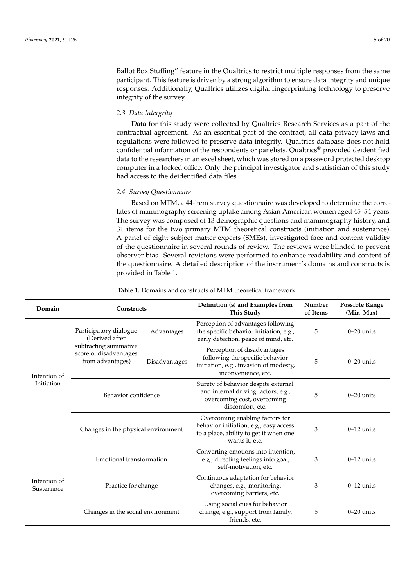Ballot Box Stuffing" feature in the Qualtrics to restrict multiple responses from the same participant. This feature is driven by a strong algorithm to ensure data integrity and unique responses. Additionally, Qualtrics utilizes digital fingerprinting technology to preserve integrity of the survey.

#### *2.3. Data Intergrity*

Data for this study were collected by Qualtrics Research Services as a part of the contractual agreement. As an essential part of the contract, all data privacy laws and regulations were followed to preserve data integrity. Qualtrics database does not hold confidential information of the respondents or panelists. Qualtrics® provided deidentified data to the researchers in an excel sheet, which was stored on a password protected desktop computer in a locked office. Only the principal investigator and statistician of this study had access to the deidentified data files.

#### *2.4. Survey Questionnaire*

Based on MTM, a 44-item survey questionnaire was developed to determine the correlates of mammography screening uptake among Asian American women aged 45–54 years. The survey was composed of 13 demographic questions and mammography history, and 31 items for the two primary MTM theoretical constructs (initiation and sustenance). A panel of eight subject matter experts (SMEs), investigated face and content validity of the questionnaire in several rounds of review. The reviews were blinded to prevent observer bias. Several revisions were performed to enhance readability and content of the questionnaire. A detailed description of the instrument's domains and constructs is provided in Table [1.](#page-6-0)

<span id="page-6-0"></span>

| Domain                     | Constructs                                                          |               | Definition (s) and Examples from<br><b>This Study</b>                                                                                 | Number<br>of Items | <b>Possible Range</b><br>$(Min-Max)$ |
|----------------------------|---------------------------------------------------------------------|---------------|---------------------------------------------------------------------------------------------------------------------------------------|--------------------|--------------------------------------|
| Intention of<br>Initiation | Participatory dialogue<br>Advantages<br>(Derived after              |               | Perception of advantages following<br>the specific behavior initiation, e.g.,<br>early detection, peace of mind, etc.                 | 5                  | $0-20$ units                         |
|                            | subtracting summative<br>score of disadvantages<br>from advantages) | Disadvantages | Perception of disadvantages<br>following the specific behavior<br>initiation, e.g., invasion of modesty,<br>inconvenience, etc.       | 5                  | $0-20$ units                         |
|                            | Behavior confidence                                                 |               | Surety of behavior despite external<br>and internal driving factors, e.g.,<br>overcoming cost, overcoming<br>discomfort, etc.         | 5                  | $0-20$ units                         |
|                            | Changes in the physical environment                                 |               | Overcoming enabling factors for<br>behavior initiation, e.g., easy access<br>to a place, ability to get it when one<br>wants it, etc. | 3                  | $0-12$ units                         |
|                            | Emotional transformation                                            |               | Converting emotions into intention,<br>e.g., directing feelings into goal,<br>self-motivation, etc.                                   | 3                  | $0-12$ units                         |
| Intention of<br>Sustenance | Practice for change                                                 |               | Continuous adaptation for behavior<br>changes, e.g., monitoring,<br>overcoming barriers, etc.                                         | 3                  | $0-12$ units                         |
|                            | Changes in the social environment                                   |               | Using social cues for behavior<br>change, e.g., support from family,<br>friends, etc.                                                 | 5                  | $0-20$ units                         |

#### **Table 1.** Domains and constructs of MTM theoretical framework.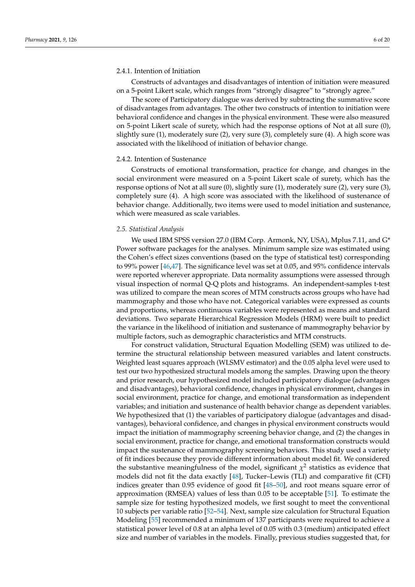#### 2.4.1. Intention of Initiation

Constructs of advantages and disadvantages of intention of initiation were measured on a 5-point Likert scale, which ranges from "strongly disagree" to "strongly agree."

The score of Participatory dialogue was derived by subtracting the summative score of disadvantages from advantages. The other two constructs of intention to initiation were behavioral confidence and changes in the physical environment. These were also measured on 5-point Likert scale of surety, which had the response options of Not at all sure (0), slightly sure (1), moderately sure (2), very sure (3), completely sure (4). A high score was associated with the likelihood of initiation of behavior change.

#### 2.4.2. Intention of Sustenance

Constructs of emotional transformation, practice for change, and changes in the social environment were measured on a 5-point Likert scale of surety, which has the response options of Not at all sure (0), slightly sure (1), moderately sure (2), very sure (3), completely sure (4). A high score was associated with the likelihood of sustenance of behavior change. Additionally, two items were used to model initiation and sustenance, which were measured as scale variables.

#### *2.5. Statistical Analysis*

We used IBM SPSS version 27.0 (IBM Corp. Armonk, NY, USA), Mplus 7.11, and G\* Power software packages for the analyses. Minimum sample size was estimated using the Cohen's effect sizes conventions (based on the type of statistical test) corresponding to 99% power [\[46,](#page-21-4)[47\]](#page-21-5). The significance level was set at 0.05, and 95% confidence intervals were reported wherever appropriate. Data normality assumptions were assessed through visual inspection of normal Q-Q plots and histograms. An independent-samples t-test was utilized to compare the mean scores of MTM constructs across groups who have had mammography and those who have not. Categorical variables were expressed as counts and proportions, whereas continuous variables were represented as means and standard deviations. Two separate Hierarchical Regression Models (HRM) were built to predict the variance in the likelihood of initiation and sustenance of mammography behavior by multiple factors, such as demographic characteristics and MTM constructs.

For construct validation, Structural Equation Modelling (SEM) was utilized to determine the structural relationship between measured variables and latent constructs. Weighted least squares approach (WLSMV estimator) and the 0.05 alpha level were used to test our two hypothesized structural models among the samples. Drawing upon the theory and prior research, our hypothesized model included participatory dialogue (advantages and disadvantages), behavioral confidence, changes in physical environment, changes in social environment, practice for change, and emotional transformation as independent variables; and initiation and sustenance of health behavior change as dependent variables. We hypothesized that (1) the variables of participatory dialogue (advantages and disadvantages), behavioral confidence, and changes in physical environment constructs would impact the initiation of mammography screening behavior change, and (2) the changes in social environment, practice for change, and emotional transformation constructs would impact the sustenance of mammography screening behaviors. This study used a variety of fit indices because they provide different information about model fit. We considered the substantive meaningfulness of the model, significant  $\chi^2$  statistics as evidence that models did not fit the data exactly [\[48\]](#page-21-6), Tucker–Lewis (TLI) and comparative fit (CFI) indices greater than 0.95 evidence of good fit [\[48](#page-21-6)[–50\]](#page-21-7), and root means square error of approximation (RMSEA) values of less than 0.05 to be acceptable [\[51\]](#page-21-8). To estimate the sample size for testing hypothesized models, we first sought to meet the conventional 10 subjects per variable ratio [\[52](#page-21-9)[–54\]](#page-21-10). Next, sample size calculation for Structural Equation Modeling [\[55\]](#page-21-11) recommended a minimum of 137 participants were required to achieve a statistical power level of 0.8 at an alpha level of 0.05 with 0.3 (medium) anticipated effect size and number of variables in the models. Finally, previous studies suggested that, for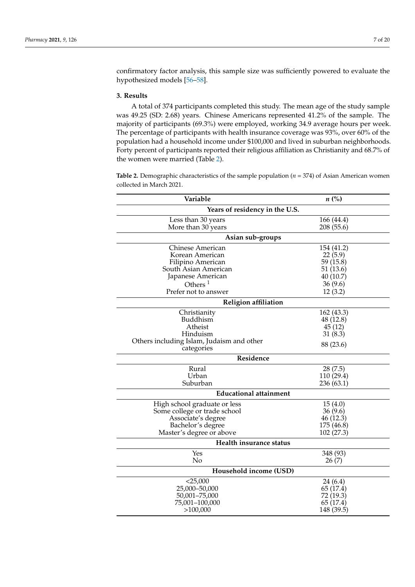confirmatory factor analysis, this sample size was sufficiently powered to evaluate the hypothesized models [\[56](#page-21-12)[–58\]](#page-21-13).

#### **3. Results**

A total of 374 participants completed this study. The mean age of the study sample was 49.25 (SD: 2.68) years. Chinese Americans represented 41.2% of the sample. The majority of participants (69.3%) were employed, working 34.9 average hours per week. The percentage of participants with health insurance coverage was 93%, over 60% of the population had a household income under \$100,000 and lived in suburban neighborhoods. Forty percent of participants reported their religious affiliation as Christianity and 68.7% of the women were married (Table [2\)](#page-8-0).

<span id="page-8-0"></span>**Table 2.** Demographic characteristics of the sample population (*n* = 374) of Asian American women collected in March 2021.

| Variable                                  | $n\left(\%\right)$       |
|-------------------------------------------|--------------------------|
| Years of residency in the U.S.            |                          |
| Less than 30 years<br>More than 30 years  | 166 (44.4)<br>208 (55.6) |
| Asian sub-groups                          |                          |
| Chinese American                          | 154 (41.2)               |
| Korean American                           | 22(5.9)                  |
| Filipino American                         | 59 (15.8)                |
| South Asian American                      | 51 (13.6)                |
| Japanese American                         | 40(10.7)                 |
| Others $1$                                | 36(9.6)                  |
| Prefer not to answer                      | 12(3.2)                  |
| <b>Religion affiliation</b>               |                          |
| Christianity                              | 162 (43.3)               |
| <b>Buddhism</b>                           | 48 (12.8)                |
| Atheist                                   | 45(12)                   |
| Hinduism                                  | 31(8.3)                  |
| Others including Islam, Judaism and other | 88 (23.6)                |
| categories                                |                          |
| Residence                                 |                          |
| Rural                                     | 28(7.5)                  |
| Urban                                     | 110 (29.4)               |
| Suburban                                  | 236(63.1)                |
| <b>Educational attainment</b>             |                          |
| High school graduate or less              | 15(4.0)                  |
| Some college or trade school              | 36(9.6)                  |
| Associate's degree                        | 46 (12.3)                |
| Bachelor's degree                         | 175 (46.8)               |
| Master's degree or above                  | 102 (27.3)               |
| Health insurance status                   |                          |
| Yes                                       | 348 (93)                 |
| No                                        | 26(7)                    |
| Household income (USD)                    |                          |
| $<$ 25,000                                | 24 (6.4)                 |
| 25,000-50,000                             | 65 (17.4)                |
| 50,001-75,000                             | 72 (19.3)                |
| 75,001-100,000                            | 65 (17.4)                |
| >100,000                                  | 148 (39.5)               |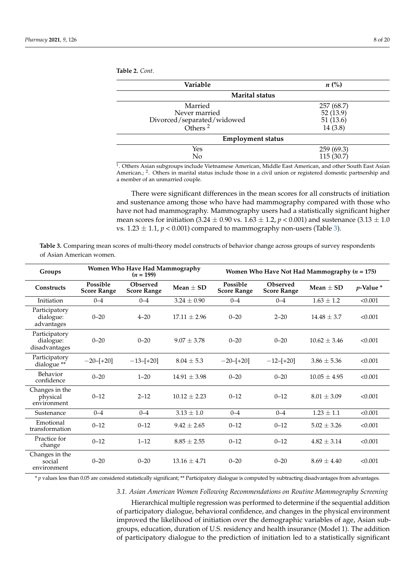**Table 2.** *Cont.*

| Variable                                                                    | $n\ (\%)$                                     |  |  |  |  |  |  |  |  |
|-----------------------------------------------------------------------------|-----------------------------------------------|--|--|--|--|--|--|--|--|
| <b>Marital status</b>                                                       |                                               |  |  |  |  |  |  |  |  |
| Married<br>Never married<br>Divorced/separated/widowed<br>Others $^{\rm 2}$ | 257 (68.7)<br>52(13.9)<br>51(13.6)<br>14(3.8) |  |  |  |  |  |  |  |  |
| <b>Employment status</b>                                                    |                                               |  |  |  |  |  |  |  |  |
| Yes<br>No                                                                   | 259(69.3)<br>115(30.7)                        |  |  |  |  |  |  |  |  |

1 . Others Asian subgroups include Vietnamese American, Middle East American, and other South East Asian American.; <sup>2</sup>. Others in marital status include those in a civil union or registered domestic partnership and a member of an unmarried couple.

There were significant differences in the mean scores for all constructs of initiation and sustenance among those who have had mammography compared with those who have not had mammography. Mammography users had a statistically significant higher mean scores for initiation  $(3.24 \pm 0.90 \text{ vs. } 1.63 \pm 1.2, p < 0.001)$  and sustenance  $(3.13 \pm 1.0$ vs.  $1.23 \pm 1.1$ ,  $p < 0.001$ ) compared to mammography non-users (Table [3\)](#page-9-0).

<span id="page-9-0"></span>**Table 3.** Comparing mean scores of multi-theory model constructs of behavior change across groups of survey respondents of Asian American women.

| Groups                                      | Women Who Have Had Mammography<br>$(n = 199)$ |                                |                  |                                | Women Who Have Not Had Mammography ( $n = 175$ ) |                 |                |  |
|---------------------------------------------|-----------------------------------------------|--------------------------------|------------------|--------------------------------|--------------------------------------------------|-----------------|----------------|--|
| <b>Constructs</b>                           | Possible<br><b>Score Range</b>                | Observed<br><b>Score Range</b> | $Mean + SD$      | Possible<br><b>Score Range</b> | <b>Observed</b><br><b>Score Range</b>            | $Mean + SD$     | $p$ -Value $*$ |  |
| Initiation                                  | $0 - 4$                                       | $0 - 4$                        | $3.24 \pm 0.90$  | $0 - 4$                        | $0 - 4$                                          | $1.63 \pm 1.2$  | < 0.001        |  |
| Participatory<br>dialogue:<br>advantages    | $0 - 20$                                      | $4 - 20$                       | $17.11 + 2.96$   | $0 - 20$                       | $2 - 20$                                         | $14.48 + 3.7$   | < 0.001        |  |
| Participatory<br>dialogue:<br>disadvantages | $0 - 20$                                      | $0 - 20$                       | $9.07 \pm 3.78$  | $0 - 20$                       | $0 - 20$                                         | $10.62 + 3.46$  | < 0.001        |  |
| Participatory<br>dialogue <sup>**</sup>     | $-20-[+20]$                                   | $-13-[+20]$                    | $8.04 \pm 5.3$   | $-20-[+20]$                    | $-12-[+20]$                                      | $3.86 \pm 5.36$ | < 0.001        |  |
| Behavior<br>confidence                      | $0 - 20$                                      | $1 - 20$                       | $14.91 \pm 3.98$ | $0 - 20$                       | $0 - 20$                                         | $10.05 + 4.95$  | < 0.001        |  |
| Changes in the<br>physical<br>environment   | $0 - 12$                                      | $2 - 12$                       | $10.12 + 2.23$   | $0 - 12$                       | $0 - 12$                                         | $8.01 \pm 3.09$ | < 0.001        |  |
| Sustenance                                  | $0 - 4$                                       | $0 - 4$                        | $3.13 \pm 1.0$   | $0 - 4$                        | $0 - 4$                                          | $1.23 \pm 1.1$  | < 0.001        |  |
| Emotional<br>transformation                 | $0 - 12$                                      | $0 - 12$                       | $9.42 \pm 2.65$  | $0 - 12$                       | $0 - 12$                                         | $5.02 \pm 3.26$ | < 0.001        |  |
| Practice for<br>change                      | $0 - 12$                                      | $1 - 12$                       | $8.85 \pm 2.55$  | $0 - 12$                       | $0 - 12$                                         | $4.82 + 3.14$   | < 0.001        |  |
| Changes in the<br>social<br>environment     | $0 - 20$                                      | $0 - 20$                       | $13.16 + 4.71$   | $0 - 20$                       | $0 - 20$                                         | $8.69 + 4.40$   | < 0.001        |  |

\* *p* values less than 0.05 are considered statistically significant; \*\* Participatory dialogue is computed by subtracting disadvantages from advantages.

*3.1. Asian American Women Following Recommendations on Routine Mammography Screening*

Hierarchical multiple regression was performed to determine if the sequential addition of participatory dialogue, behavioral confidence, and changes in the physical environment improved the likelihood of initiation over the demographic variables of age, Asian subgroups, education, duration of U.S. residency and health insurance (Model 1). The addition of participatory dialogue to the prediction of initiation led to a statistically significant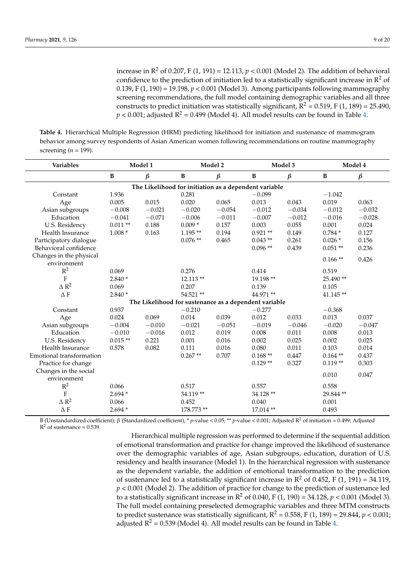increase in  $\mathbb{R}^2$  of 0.207, F (1, 191) = 12.113,  $p < 0.001$  (Model 2). The addition of behavioral confidence to the prediction of initiation led to a statistically significant increase in  $\mathbb{R}^2$  of 0.139, F (1, 190) = 19.198, *p* < 0.001 (Model 3). Among participants following mammography screening recommendations, the full model containing demographic variables and all three constructs to predict initiation was statistically significant,  $R^2 = 0.519$ , F (1, 189) = 25.490,  $p < 0.001$ ; adjusted  $R^2 = 0.499$  (Model 4). All model results can be found in Table [4.](#page-10-0)

<span id="page-10-0"></span>**Table 4.** Hierarchical Multiple Regression (HRM) predicting likelihood for initiation and sustenance of mammogram behavior among survey respondents of Asian American women following recommendations on routine mammography screening ( $n = 199$ ).

| Variables                              |                                                       | Model 1  |              | Model 2  | Model 3                                               |          |              | Model 4  |  |  |  |
|----------------------------------------|-------------------------------------------------------|----------|--------------|----------|-------------------------------------------------------|----------|--------------|----------|--|--|--|
|                                        | $\, {\bf B}$                                          | $\beta$  | $\, {\bf B}$ | $\beta$  | $\, {\bf B}$                                          | $\beta$  | $\, {\bf B}$ | $\beta$  |  |  |  |
|                                        | The Likelihood for initiation as a dependent variable |          |              |          |                                                       |          |              |          |  |  |  |
| Constant                               | 1.936                                                 |          | 0.281        |          | $-0.099$                                              |          | $-1.042$     |          |  |  |  |
| Age                                    | 0.005                                                 | 0.015    | 0.020        | 0.065    | 0.013                                                 | 0.043    | 0.019        | 0.063    |  |  |  |
| Asian subgroups                        | $-0.008$                                              | $-0.021$ | $-0.020$     | $-0.054$ | $-0.012$                                              | $-0.034$ | $-0.012$     | $-0.032$ |  |  |  |
| Education                              | $-0.041$                                              | $-0.071$ | $-0.006$     | $-0.011$ | $-0.007$                                              | $-0.012$ | $-0.016$     | $-0.028$ |  |  |  |
| U.S. Residency                         | $0.011**$                                             | 0.188    | $0.009*$     | 0.157    | 0.003                                                 | 0.055    | 0.001        | 0.024    |  |  |  |
| Health Insurance                       | $1.008*$                                              | 0.163    | $1.195**$    | 0.194    | $0.921**$                                             | 0.149    | $0.784*$     | 0.127    |  |  |  |
| Participatory dialogue                 |                                                       |          | $0.076**$    | 0.465    | $0.043**$                                             | 0.261    | $0.026*$     | 0.156    |  |  |  |
| Behavioral confidence                  |                                                       |          |              |          | $0.096**$                                             | 0.439    | $0.051**$    | 0.236    |  |  |  |
| Changes in the physical<br>environment |                                                       |          |              |          |                                                       |          | $0.166**$    | 0.426    |  |  |  |
| $R^2$                                  | 0.069                                                 |          | 0.276        |          | 0.414                                                 |          | 0.519        |          |  |  |  |
| $\overline{F}$                         | $2.840*$                                              |          | $12.113**$   |          | 19.198 **                                             |          | 25.490**     |          |  |  |  |
| $\Delta$ $\rm R^2$                     | 0.069                                                 |          | 0.207        |          | 0.139                                                 |          | 0.105        |          |  |  |  |
| $\Delta$ F                             | $2.840*$                                              |          | 54.521 **    |          | 44.971 **                                             |          | 41.145**     |          |  |  |  |
|                                        |                                                       |          |              |          | The Likelihood for sustenance as a dependent variable |          |              |          |  |  |  |
| Constant                               | 0.937                                                 |          | $-0.210$     |          | $-0.277$                                              |          | $-0.368$     |          |  |  |  |
| Age                                    | 0.024                                                 | 0.069    | 0.014        | 0.039    | 0.012                                                 | 0.033    | 0.013        | 0.037    |  |  |  |
| Asian subgroups                        | $-0.004$                                              | $-0.010$ | $-0.021$     | $-0.051$ | $-0.019$                                              | $-0.046$ | $-0.020$     | $-0.047$ |  |  |  |
| Education                              | $-0.010$                                              | $-0.016$ | 0.012        | 0.019    | 0.008                                                 | 0.011    | 0.008        | 0.013    |  |  |  |
| U.S. Residency                         | $0.015**$                                             | 0.221    | 0.001        | 0.016    | 0.002                                                 | 0.025    | 0.002        | 0.025    |  |  |  |
| Health Insurance                       | 0.578                                                 | 0.082    | 0.111        | 0.016    | 0.080                                                 | 0.011    | 0.103        | 0.014    |  |  |  |
| Emotional transformation               |                                                       |          | $0.267**$    | 0.707    | $0.168**$                                             | 0.447    | $0.164$ **   | 0.437    |  |  |  |
| Practice for change                    |                                                       |          |              |          | $0.129**$                                             | 0.327    | $0.119**$    | 0.303    |  |  |  |
| Changes in the social                  |                                                       |          |              |          |                                                       |          |              |          |  |  |  |
| environment                            |                                                       |          |              |          |                                                       |          | 0.010        | 0.047    |  |  |  |
| $R^2$                                  | 0.066                                                 |          | 0.517        |          | 0.557                                                 |          | 0.558        |          |  |  |  |
| ${\bf F}$                              | $2.694*$                                              |          | 34.119**     |          | 34.128 **                                             |          | 29.844**     |          |  |  |  |
| $\Delta$ $\rm R^2$                     | 0.066                                                 |          | 0.452        |          | 0.040                                                 |          | 0.001        |          |  |  |  |
| $\Delta$ F                             | $2.694*$                                              |          | 178.773 **   |          | 17.014**                                              |          | 0.493        |          |  |  |  |

B (Unstandardized coefficient); β (Standardized coefficient), \* *p*-value < 0.05; \*\* *p*-value < 0.001; Adjusted R<sup>2</sup> of initiation = 0.499; Adjusted  $R<sup>2</sup>$  of sustenance = 0.539.

> Hierarchical multiple regression was performed to determine if the sequential addition of emotional transformation and practice for change improved the likelihood of sustenance over the demographic variables of age, Asian subgroups, education, duration of U.S. residency and health insurance (Model 1). In the hierarchical regression with sustenance as the dependent variable, the addition of emotional transformation to the prediction of sustenance led to a statistically significant increase in  $\mathbb{R}^2$  of 0.452, F (1, 191) = 34.119, *p* < 0.001 (Model 2). The addition of practice for change to the prediction of sustenance led to a statistically significant increase in  $\mathbb{R}^2$  of 0.040, F (1, 190) = 34.128,  $p < 0.001$  (Model 3). The full model containing preselected demographic variables and three MTM constructs to predict sustenance was statistically significant,  $R^2 = 0.558$ , F (1, 189) = 29.844,  $p < 0.001$ ; adjusted  $R^2 = 0.539$  (Model 4). All model results can be found in Table [4.](#page-10-0)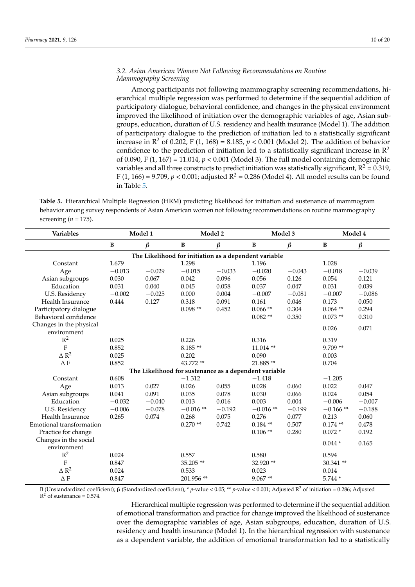#### *3.2. Asian American Women Not Following Recommendations on Routine Mammography Screening*

Among participants not following mammography screening recommendations, hierarchical multiple regression was performed to determine if the sequential addition of participatory dialogue, behavioral confidence, and changes in the physical environment improved the likelihood of initiation over the demographic variables of age, Asian subgroups, education, duration of U.S. residency and health insurance (Model 1). The addition of participatory dialogue to the prediction of initiation led to a statistically significant increase in  $\mathbb{R}^2$  of 0.202, F (1, 168) = 8.185,  $p < 0.001$  (Model 2). The addition of behavior confidence to the prediction of initiation led to a statistically significant increase in  $\mathbb{R}^2$ of 0.090, F (1, 167) = 11.014, *p* < 0.001 (Model 3). The full model containing demographic variables and all three constructs to predict initiation was statistically significant,  $R^2$  = 0.319, F (1, 166) = 9.709,  $p < 0.001$ ; adjusted R<sup>2</sup> = 0.286 (Model 4). All model results can be found in Table [5.](#page-11-0)

<span id="page-11-0"></span>**Table 5.** Hierarchical Multiple Regression (HRM) predicting likelihood for initiation and sustenance of mammogram behavior among survey respondents of Asian American women not following recommendations on routine mammography screening (*n* = 175).

| Variables                | Model 1                                               |          |              | Model 2  |                                                       | Model 3  |              | Model 4  |  |  |  |  |
|--------------------------|-------------------------------------------------------|----------|--------------|----------|-------------------------------------------------------|----------|--------------|----------|--|--|--|--|
|                          | $\, {\bf B}$                                          | $\beta$  | $\, {\bf B}$ | $\beta$  | $\, {\bf B}$                                          | $\beta$  | $\, {\bf B}$ | $\beta$  |  |  |  |  |
|                          | The Likelihood for initiation as a dependent variable |          |              |          |                                                       |          |              |          |  |  |  |  |
| Constant                 | 1.679                                                 |          | 1.298        |          | 1.196                                                 |          | 1.028        |          |  |  |  |  |
| Age                      | $-0.013$                                              | $-0.029$ | $-0.015$     | $-0.033$ | $-0.020$                                              | $-0.043$ | $-0.018$     | $-0.039$ |  |  |  |  |
| Asian subgroups          | 0.030                                                 | 0.067    | 0.042        | 0.096    | 0.056                                                 | 0.126    | 0.054        | 0.121    |  |  |  |  |
| Education                | 0.031                                                 | 0.040    | 0.045        | 0.058    | 0.037                                                 | 0.047    | 0.031        | 0.039    |  |  |  |  |
| U.S. Residency           | $-0.002$                                              | $-0.025$ | 0.000        | 0.004    | $-0.007$                                              | $-0.081$ | $-0.007$     | $-0.086$ |  |  |  |  |
| Health Insurance         | 0.444                                                 | 0.127    | 0.318        | 0.091    | 0.161                                                 | 0.046    | 0.173        | 0.050    |  |  |  |  |
| Participatory dialogue   |                                                       |          | $0.098**$    | 0.452    | $0.066**$                                             | 0.304    | $0.064$ **   | 0.294    |  |  |  |  |
| Behavioral confidence    |                                                       |          |              |          | $0.082**$                                             | 0.350    | $0.073**$    | 0.310    |  |  |  |  |
| Changes in the physical  |                                                       |          |              |          |                                                       |          | 0.026        | 0.071    |  |  |  |  |
| environment              |                                                       |          |              |          |                                                       |          |              |          |  |  |  |  |
| $R^2$                    | 0.025                                                 |          | 0.226        |          | 0.316                                                 |          | 0.319        |          |  |  |  |  |
| $\overline{F}$           | 0.852                                                 |          | $8.185**$    |          | $11.014$ **                                           |          | 9.709**      |          |  |  |  |  |
| $\triangle R^2$          | 0.025                                                 |          | 0.202        |          | 0.090                                                 |          | 0.003        |          |  |  |  |  |
| $\Delta F$               | 0.852                                                 |          | 43.772 **    |          | 21.885**                                              |          | 0.704        |          |  |  |  |  |
|                          |                                                       |          |              |          | The Likelihood for sustenance as a dependent variable |          |              |          |  |  |  |  |
| Constant                 | 0.608                                                 |          | $-1.312$     |          | $-1.418$                                              |          | $-1.205$     |          |  |  |  |  |
| Age                      | 0.013                                                 | 0.027    | 0.026        | 0.055    | 0.028                                                 | 0.060    | 0.022        | 0.047    |  |  |  |  |
| Asian subgroups          | 0.041                                                 | 0.091    | 0.035        | 0.078    | 0.030                                                 | 0.066    | 0.024        | 0.054    |  |  |  |  |
| Education                | $-0.032$                                              | $-0.040$ | 0.013        | 0.016    | 0.003                                                 | 0.004    | $-0.006$     | $-0.007$ |  |  |  |  |
| U.S. Residency           | $-0.006$                                              | $-0.078$ | $-0.016**$   | $-0.192$ | $-0.016**$                                            | $-0.199$ | $-0.166**$   | $-0.188$ |  |  |  |  |
| Health Insurance         | 0.265                                                 | 0.074    | 0.268        | 0.075    | 0.276                                                 | 0.077    | 0.213        | 0.060    |  |  |  |  |
| Emotional transformation |                                                       |          | $0.270**$    | 0.742    | $0.184**$                                             | 0.507    | $0.174**$    | 0.478    |  |  |  |  |
| Practice for change      |                                                       |          |              |          | $0.106$ **                                            | 0.280    | $0.072*$     | 0.192    |  |  |  |  |
| Changes in the social    |                                                       |          |              |          |                                                       |          | $0.044*$     | 0.165    |  |  |  |  |
| environment              |                                                       |          |              |          |                                                       |          |              |          |  |  |  |  |
| $\mathbb{R}^2$           | 0.024                                                 |          | 0.557        |          | 0.580                                                 |          | 0.594        |          |  |  |  |  |
| $\mathbf F$              | 0.847                                                 |          | 35.205**     |          | 32.920 **                                             |          | 30.341**     |          |  |  |  |  |
| $\Delta$ $\rm R^2$       | 0.024                                                 |          | 0.533        |          | 0.023                                                 |          | 0.014        |          |  |  |  |  |
| $\Delta$ F               | 0.847                                                 |          | 201.956**    |          | $9.067**$                                             |          | 5.744 *      |          |  |  |  |  |

B (Unstandardized coefficient); β (Standardized coefficient), \* *p*-value < 0.05; \*\* *p*-value < 0.001; Adjusted R<sup>2</sup> of initiation = 0.286; Adjusted  $R<sup>2</sup>$  of sustenance = 0.574.

> Hierarchical multiple regression was performed to determine if the sequential addition of emotional transformation and practice for change improved the likelihood of sustenance over the demographic variables of age, Asian subgroups, education, duration of U.S. residency and health insurance (Model 1). In the hierarchical regression with sustenance as a dependent variable, the addition of emotional transformation led to a statistically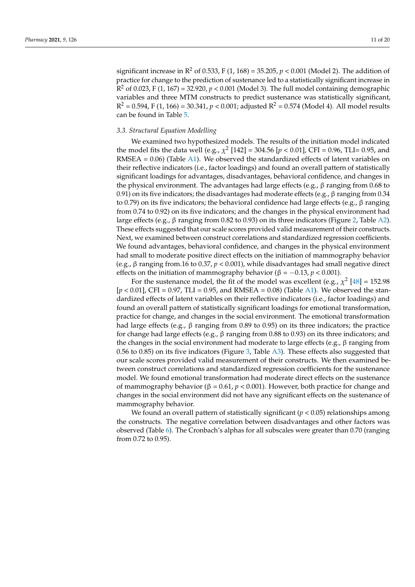significant increase in  $\mathbb{R}^2$  of 0.533, F (1, 168) = 35.205,  $p < 0.001$  (Model 2). The addition of practice for change to the prediction of sustenance led to a statistically significant increase in  $R^2$  of 0.023, F (1, 167) = 32.920,  $p < 0.001$  (Model 3). The full model containing demographic variables and three MTM constructs to predict sustenance was statistically significant,  $R^2$  = 0.594, F (1, 166) = 30.341,  $p < 0.001$ ; adjusted  $R^2$  = 0.574 (Model 4). All model results can be found in Table [5.](#page-11-0)

#### *3.3. Structural Equation Modelling*

We examined two hypothesized models. The results of the initiation model indicated the model fits the data well (e.g.,  $\chi^2$  [142] = 304.56 [ $p < 0.01$ ], CFI = 0.96, TLI= 0.95, and RMSEA =  $0.06$ ) (Table [A1\)](#page-18-0). We observed the standardized effects of latent variables on their reflective indicators (i.e., factor loadings) and found an overall pattern of statistically significant loadings for advantages, disadvantages, behavioral confidence, and changes in the physical environment. The advantages had large effects (e.g., β ranging from 0.68 to 0.91) on its five indicators; the disadvantages had moderate effects (e.g., β ranging from 0.34 to 0.79) on its five indicators; the behavioral confidence had large effects (e.g., β ranging from 0.74 to 0.92) on its five indicators; and the changes in the physical environment had large effects (e.g., β ranging from 0.82 to 0.93) on its three indicators (Figure [2,](#page-13-0) Table [A2\)](#page-18-1). These effects suggested that our scale scores provided valid measurement of their constructs. Next, we examined between construct correlations and standardized regression coefficients. We found advantages, behavioral confidence, and changes in the physical environment had small to moderate positive direct effects on the initiation of mammography behavior (e.g., β ranging from.16 to 0.37, *p* < 0.001), while disadvantages had small negative direct effects on the initiation of mammography behavior ( $\beta = -0.13$ ,  $p < 0.001$ ).

For the sustenance model, the fit of the model was excellent (e.g.,  $\chi^2$  [\[48\]](#page-21-6) = 152.98 [ $p < 0.01$ ], CFI = 0.97, TLI = 0.95, and RMSEA = 0.08) (Table [A1\)](#page-18-0). We observed the standardized effects of latent variables on their reflective indicators (i.e., factor loadings) and found an overall pattern of statistically significant loadings for emotional transformation, practice for change, and changes in the social environment. The emotional transformation had large effects (e.g.,  $\beta$  ranging from 0.89 to 0.95) on its three indicators; the practice for change had large effects (e.g.,  $\beta$  ranging from 0.88 to 0.93) on its three indicators; and the changes in the social environment had moderate to large effects (e.g.,  $\beta$  ranging from 0.56 to 0.85) on its five indicators (Figure [3,](#page-14-0) Table  $\Delta$ 3). These effects also suggested that our scale scores provided valid measurement of their constructs. We then examined between construct correlations and standardized regression coefficients for the sustenance model. We found emotional transformation had moderate direct effects on the sustenance of mammography behavior (β = 0.61, *p* < 0.001). However, both practice for change and changes in the social environment did not have any significant effects on the sustenance of mammography behavior.

We found an overall pattern of statistically significant  $(p < 0.05)$  relationships among the constructs. The negative correlation between disadvantages and other factors was observed (Table [6\)](#page-13-1). The Cronbach's alphas for all subscales were greater than 0.70 (ranging from 0.72 to 0.95).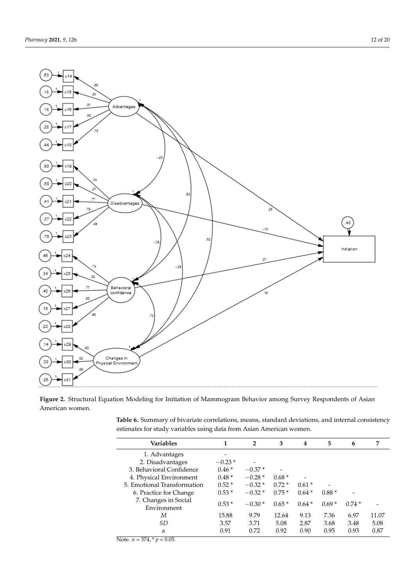<span id="page-13-0"></span>

**Figure 2.** Structural Equation Modeling for Initiation of Mammogram Behavior among Survey Respondents of Asian American women.

<span id="page-13-1"></span>

| Table 6. Summary of bivariate correlations, means, standard deviations, and internal consistency |  |  |
|--------------------------------------------------------------------------------------------------|--|--|
| estimates for study variables using data from Asian American women.                              |  |  |

| <b>Variables</b>                    | 1        | $\overline{2}$ | 3       | 4       | 5       | 6       | 7     |
|-------------------------------------|----------|----------------|---------|---------|---------|---------|-------|
| 1. Advantages                       |          |                |         |         |         |         |       |
| 2. Disadvantages                    | $-0.23*$ |                |         |         |         |         |       |
| 3. Behavioral Confidence            | $0.46*$  | $-0.37*$       |         |         |         |         |       |
| 4. Physical Environment             | $0.48*$  | $-0.28*$       | $0.68*$ |         |         |         |       |
| 5. Emotional Transformation         | $0.52*$  | $-0.32*$       | $0.72*$ | $0.61*$ |         |         |       |
| 6. Practice for Change              | $0.53*$  | $-0.32*$       | $0.75*$ | $0.64*$ | $0.88*$ |         |       |
| 7. Changes in Social<br>Environment | $0.53*$  | $-0.30*$       | $0.65*$ | $0.64*$ | $0.69*$ | $0.74*$ |       |
| М                                   | 15.88    | 9.79           | 12.64   | 9.13    | 7.36    | 6.97    | 11.07 |
| SD                                  | 3.57     | 3.71           | 5.08    | 2.87    | 3.68    | 3.48    | 5.08  |
| $\alpha$                            | 0.91     | 0.72           | 0.92    | 0.90    | 0.95    | 0.93    | 0.87  |

Note. *n* = 374, \* *p* < 0.05.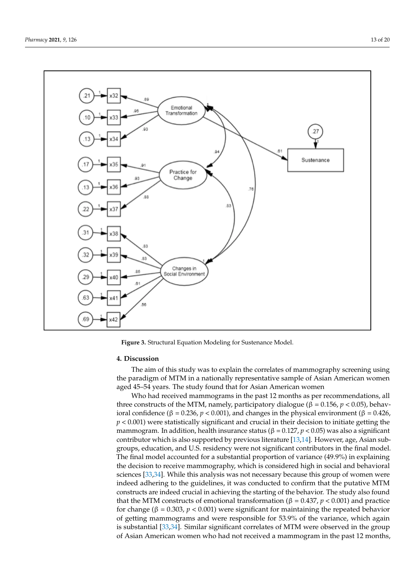

<span id="page-14-0"></span>

**Figure 3.** Structural Equation Modeling for Sustenance Model. **Figure 3.** Structural Equation Modeling for Sustenance Model.

#### We found an overall pattern of statistically significant (*p* < 0.05) relationships among **4. Discussion**

the constructs. The negative correlation between disadvantages and other factors was ob-Fire all to this study was to explain the correlates of manufography screening using the paradigm of MTM in a nationally representative sample of Asian American women The aim of this study was to explain the correlates of mammography screening using aged 45–54 years. The study found that for Asian American women

Who had received mammograms in the past 12 months as per recommendations, all three constructs of the MTM, namely, participatory dialogue (β =  $0.156$ ,  $p < 0.05$ ), behav $p < 0.001$ ) were statistically significant and crucial in their decision to initiate getting the mammogram. In addition, health insurance status (β =  $0.127$ ,  $p$  <  $0.05$ ) was also a significant contributor which is also supported by previous literature [\[13,](#page-19-12)[14\]](#page-19-13). However, age, Asian subgroups, education, and U.S. residency were not significant contributors in the final model. The final model accounted for a substantial proportion of variance (49.9%) in explaining the decision to receive mammography, which is considered high in social and behavioral sciences [\[33](#page-20-16)[,34\]](#page-20-17). While this analysis was not necessary because this group of women were indeed adhering to the guidelines, it was conducted to confirm that the putative MTM that the MTM constructs of emotional transformation (β = 0.437,  $p$  < 0.001) and practice  $S<sub>1</sub>$  and the strict constraints of embedding that solutions (β<sup>-3.12</sup>),  $β$  + 0.002) and  $β$  = 0.303,  $p < 0.001$ ) were significant for maintaining the repeated behavior of getting mammograms and were responsible for 53.9% of the variance, which again is substantial [\[33](#page-20-16)[,34\]](#page-20-17). Similar significant correlates of MTM were observed in the group ioral confidence (β = 0.236, *p* < 0.001), and changes in the physical environment (β = 0.426, constructs are indeed crucial in achieving the starting of the behavior. The study also found of Asian American women who had not received a mammogram in the past 12 months,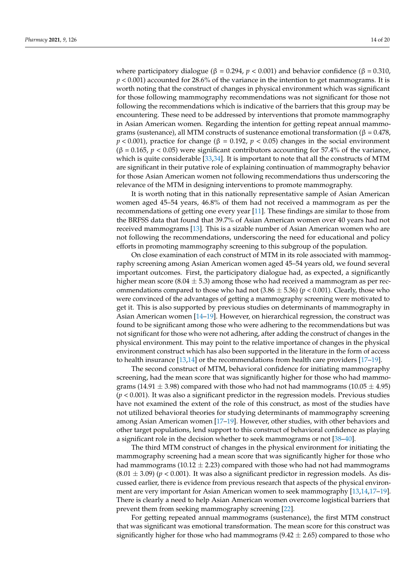where participatory dialogue (β = 0.294,  $p < 0.001$ ) and behavior confidence (β = 0.310,  $p < 0.001$ ) accounted for 28.6% of the variance in the intention to get mammograms. It is worth noting that the construct of changes in physical environment which was significant for those following mammography recommendations was not significant for those not following the recommendations which is indicative of the barriers that this group may be encountering. These need to be addressed by interventions that promote mammography in Asian American women. Regarding the intention for getting repeat annual mammograms (sustenance), all MTM constructs of sustenance emotional transformation (β = 0.478,  $p < 0.001$ ), practice for change ( $\beta = 0.192$ ,  $p < 0.05$ ) changes in the social environment  $(\beta = 0.165, p < 0.05)$  were significant contributors accounting for 57.4% of the variance, which is quite considerable [\[33,](#page-20-16)[34\]](#page-20-17). It is important to note that all the constructs of MTM are significant in their putative role of explaining continuation of mammography behavior for those Asian American women not following recommendations thus underscoring the relevance of the MTM in designing interventions to promote mammography.

It is worth noting that in this nationally representative sample of Asian American women aged 45–54 years, 46.8% of them had not received a mammogram as per the recommendations of getting one every year [\[11\]](#page-19-10). These findings are similar to those from the BRFSS data that found that 39.7% of Asian American women over 40 years had not received mammograms [\[13\]](#page-19-12). This is a sizable number of Asian American women who are not following the recommendations, underscoring the need for educational and policy efforts in promoting mammography screening to this subgroup of the population.

On close examination of each construct of MTM in its role associated with mammography screening among Asian American women aged 45–54 years old, we found several important outcomes. First, the participatory dialogue had, as expected, a significantly higher mean score (8.04  $\pm$  5.3) among those who had received a mammogram as per recommendations compared to those who had not  $(3.86 \pm 5.36)$  ( $p < 0.001$ ). Clearly, those who were convinced of the advantages of getting a mammography screening were motivated to get it. This is also supported by previous studies on determinants of mammography in Asian American women [\[14](#page-19-13)[–19\]](#page-20-2). However, on hierarchical regression, the construct was found to be significant among those who were adhering to the recommendations but was not significant for those who were not adhering, after adding the construct of changes in the physical environment. This may point to the relative importance of changes in the physical environment construct which has also been supported in the literature in the form of access to health insurance [\[13,](#page-19-12)[14\]](#page-19-13) or the recommendations from health care providers [\[17–](#page-20-1)[19\]](#page-20-2).

The second construct of MTM, behavioral confidence for initiating mammography screening, had the mean score that was significantly higher for those who had mammograms (14.91  $\pm$  3.98) compared with those who had not had mammograms (10.05  $\pm$  4.95) (*p* < 0.001). It was also a significant predictor in the regression models. Previous studies have not examined the extent of the role of this construct, as most of the studies have not utilized behavioral theories for studying determinants of mammography screening among Asian American women [\[17–](#page-20-1)[19\]](#page-20-2). However, other studies, with other behaviors and other target populations, lend support to this construct of behavioral confidence as playing a significant role in the decision whether to seek mammograms or not [\[38–](#page-20-22)[40\]](#page-20-21).

The third MTM construct of changes in the physical environment for initiating the mammography screening had a mean score that was significantly higher for those who had mammograms (10.12  $\pm$  2.23) compared with those who had not had mammograms  $(8.01 \pm 3.09)$  ( $p < 0.001$ ). It was also a significant predictor in regression models. As discussed earlier, there is evidence from previous research that aspects of the physical environment are very important for Asian American women to seek mammography [\[13](#page-19-12)[,14](#page-19-13)[,17](#page-20-1)[–19\]](#page-20-2). There is clearly a need to help Asian American women overcome logistical barriers that prevent them from seeking mammography screening [\[22\]](#page-20-5).

For getting repeated annual mammograms (sustenance), the first MTM construct that was significant was emotional transformation. The mean score for this construct was significantly higher for those who had mammograms  $(9.42 \pm 2.65)$  compared to those who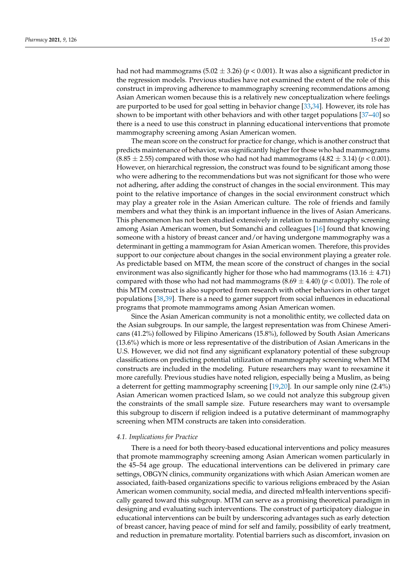had not had mammograms  $(5.02 \pm 3.26)$  ( $p < 0.001$ ). It was also a significant predictor in the regression models. Previous studies have not examined the extent of the role of this construct in improving adherence to mammography screening recommendations among Asian American women because this is a relatively new conceptualization where feelings are purported to be used for goal setting in behavior change [\[33](#page-20-16)[,34\]](#page-20-17). However, its role has shown to be important with other behaviors and with other target populations [\[37–](#page-20-20)[40\]](#page-20-21) so there is a need to use this construct in planning educational interventions that promote mammography screening among Asian American women.

The mean score on the construct for practice for change, which is another construct that predicts maintenance of behavior, was significantly higher for those who had mammograms  $(8.85 \pm 2.55)$  compared with those who had not had mammograms  $(4.82 \pm 3.14)$  ( $p < 0.001$ ). However, on hierarchical regression, the construct was found to be significant among those who were adhering to the recommendations but was not significant for those who were not adhering, after adding the construct of changes in the social environment. This may point to the relative importance of changes in the social environment construct which may play a greater role in the Asian American culture. The role of friends and family members and what they think is an important influence in the lives of Asian Americans. This phenomenon has not been studied extensively in relation to mammography screening among Asian American women, but Somanchi and colleagues [\[16\]](#page-20-0) found that knowing someone with a history of breast cancer and/or having undergone mammography was a determinant in getting a mammogram for Asian American women. Therefore, this provides support to our conjecture about changes in the social environment playing a greater role. As predictable based on MTM, the mean score of the construct of changes in the social environment was also significantly higher for those who had mammograms  $(13.16 \pm 4.71)$ compared with those who had not had mammograms  $(8.69 \pm 4.40)$  ( $p < 0.001$ ). The role of this MTM construct is also supported from research with other behaviors in other target populations [\[38](#page-20-22)[,39\]](#page-20-23). There is a need to garner support from social influences in educational programs that promote mammograms among Asian American women.

Since the Asian American community is not a monolithic entity, we collected data on the Asian subgroups. In our sample, the largest representation was from Chinese Americans (41.2%) followed by Filipino Americans (15.8%), followed by South Asian Americans (13.6%) which is more or less representative of the distribution of Asian Americans in the U.S. However, we did not find any significant explanatory potential of these subgroup classifications on predicting potential utilization of mammography screening when MTM constructs are included in the modeling. Future researchers may want to reexamine it more carefully. Previous studies have noted religion, especially being a Muslim, as being a deterrent for getting mammography screening [\[19,](#page-20-2)[20\]](#page-20-3). In our sample only nine (2.4%) Asian American women practiced Islam, so we could not analyze this subgroup given the constraints of the small sample size. Future researchers may want to oversample this subgroup to discern if religion indeed is a putative determinant of mammography screening when MTM constructs are taken into consideration.

#### *4.1. Implications for Practice*

There is a need for both theory-based educational interventions and policy measures that promote mammography screening among Asian American women particularly in the 45–54 age group. The educational interventions can be delivered in primary care settings, OBGYN clinics, community organizations with which Asian American women are associated, faith-based organizations specific to various religions embraced by the Asian American women community, social media, and directed mHealth interventions specifically geared toward this subgroup. MTM can serve as a promising theoretical paradigm in designing and evaluating such interventions. The construct of participatory dialogue in educational interventions can be built by underscoring advantages such as early detection of breast cancer, having peace of mind for self and family, possibility of early treatment, and reduction in premature mortality. Potential barriers such as discomfort, invasion on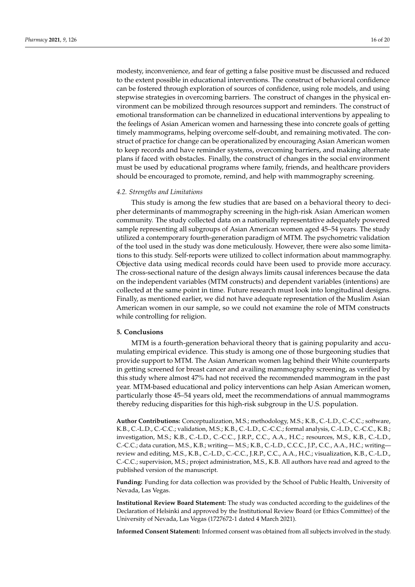modesty, inconvenience, and fear of getting a false positive must be discussed and reduced to the extent possible in educational interventions. The construct of behavioral confidence can be fostered through exploration of sources of confidence, using role models, and using stepwise strategies in overcoming barriers. The construct of changes in the physical environment can be mobilized through resources support and reminders. The construct of emotional transformation can be channelized in educational interventions by appealing to the feelings of Asian American women and harnessing these into concrete goals of getting timely mammograms, helping overcome self-doubt, and remaining motivated. The construct of practice for change can be operationalized by encouraging Asian American women to keep records and have reminder systems, overcoming barriers, and making alternate plans if faced with obstacles. Finally, the construct of changes in the social environment must be used by educational programs where family, friends, and healthcare providers should be encouraged to promote, remind, and help with mammography screening.

#### *4.2. Strengths and Limitations*

This study is among the few studies that are based on a behavioral theory to decipher determinants of mammography screening in the high-risk Asian American women community. The study collected data on a nationally representative adequately powered sample representing all subgroups of Asian American women aged 45–54 years. The study utilized a contemporary fourth-generation paradigm of MTM. The psychometric validation of the tool used in the study was done meticulously. However, there were also some limitations to this study. Self-reports were utilized to collect information about mammography. Objective data using medical records could have been used to provide more accuracy. The cross-sectional nature of the design always limits causal inferences because the data on the independent variables (MTM constructs) and dependent variables (intentions) are collected at the same point in time. Future research must look into longitudinal designs. Finally, as mentioned earlier, we did not have adequate representation of the Muslim Asian American women in our sample, so we could not examine the role of MTM constructs while controlling for religion.

#### **5. Conclusions**

MTM is a fourth-generation behavioral theory that is gaining popularity and accumulating empirical evidence. This study is among one of those burgeoning studies that provide support to MTM. The Asian American women lag behind their White counterparts in getting screened for breast cancer and availing mammography screening, as verified by this study where almost 47% had not received the recommended mammogram in the past year. MTM-based educational and policy interventions can help Asian American women, particularly those 45–54 years old, meet the recommendations of annual mammograms thereby reducing disparities for this high-risk subgroup in the U.S. population.

**Author Contributions:** Conceptualization, M.S.; methodology, M.S.; K.B., C.-L.D., C.-C.C.; software, K.B., C.-L.D., C.-C.C.; validation, M.S.; K.B., C.-L.D., C.-C.C.; formal analysis, C.-L.D., C.-C.C., K.B.; investigation, M.S.; K.B., C.-L.D., C.-C.C., J.R.P., C.C., A.A., H.C.; resources, M.S., K.B., C.-L.D., C.-C.C.; data curation, M.S., K.B.; writing— M.S.; K.B., C.-L.D., C.C.C., J.P., C.C., A.A., H.C.; writing review and editing, M.S., K.B., C.-L.D., C.-C.C., J.R.P., C.C., A.A., H.C.; visualization, K.B., C.-L.D., C.-C.C.; supervision, M.S.; project administration, M.S., K.B. All authors have read and agreed to the published version of the manuscript.

**Funding:** Funding for data collection was provided by the School of Public Health, University of Nevada, Las Vegas.

**Institutional Review Board Statement:** The study was conducted according to the guidelines of the Declaration of Helsinki and approved by the Institutional Review Board (or Ethics Committee) of the University of Nevada, Las Vegas (1727672-1 dated 4 March 2021).

**Informed Consent Statement:** Informed consent was obtained from all subjects involved in the study.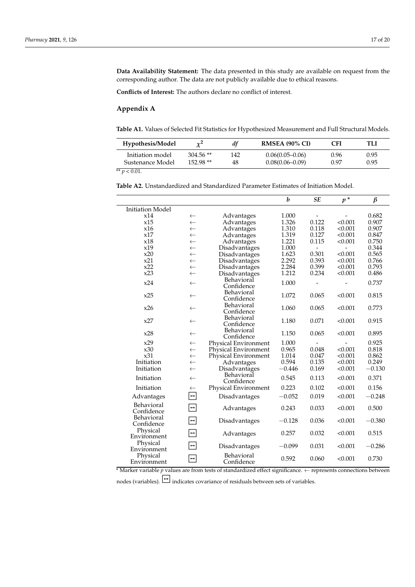**Data Availability Statement:** The data presented in this study are available on request from the corresponding author. The data are not publicly available due to ethical reasons.

**Conflicts of Interest:** The authors declare no conflict of interest.

#### **Appendix A**

<span id="page-18-0"></span>**Table A1.** Values of Selected Fit Statistics for Hypothesized Measurement and Full Structural Models.

| Hypothesis/Model | $\chi^2$   | df  | <b>RMSEA (90% CI)</b> | CFI  | TLI  |
|------------------|------------|-----|-----------------------|------|------|
| Initiation model | $304.56**$ | 142 | $0.06(0.05-0.06)$     | 0.96 | 0.95 |
| Sustenance Model | $152.98**$ | 48  | $0.08(0.06 - 0.09)$   | 0.97 | 0.95 |

 $*$  *r*  $> 0.01$ .

<span id="page-18-1"></span>**Table A2.** Unstandardized and Standardized Parameter Estimates of Initiation Model.

|                         |                        |                          | b        | ${\it SE}$               | $p^*$                    | $\beta$  |
|-------------------------|------------------------|--------------------------|----------|--------------------------|--------------------------|----------|
| <b>Initiation Model</b> |                        |                          |          |                          |                          |          |
| x14                     | $\leftarrow$           | Advantages               | 1.000    |                          | $\overline{\phantom{a}}$ | 0.682    |
| x15                     | $\leftarrow$           | Advantages               | 1.326    | 0.122                    | < 0.001                  | 0.907    |
| x16                     | $\leftarrow$           | Advantages               | 1.310    | 0.118                    | < 0.001                  | 0.907    |
| x17                     | $\leftarrow$           | Advantages               | 1.319    | 0.127                    | < 0.001                  | 0.847    |
| x18                     | $\leftarrow$           | Advantages               | 1.221    | 0.115                    | < 0.001                  | 0.750    |
| x19                     | $\leftarrow$           | Disadvantages            | 1.000    | $\sim$                   | $\overline{a}$           | 0.344    |
| x20                     | $\leftarrow$           | Disadvantages            | 1.623    | 0.301                    | < 0.001                  | 0.565    |
| x21                     | $\leftarrow$           | Disadvantages            | 2.292    | 0.393                    | < 0.001                  | 0.766    |
| x22                     | $\leftarrow$           | Disadvantages            | 2.284    | 0.399                    | < 0.001                  | 0.793    |
| x23                     | $\leftarrow$           | Disadvantages            | 1.212    | 0.234                    | < 0.001                  | 0.486    |
| x24                     | $\leftarrow$           | Behavioral               | 1.000    |                          |                          | 0.737    |
|                         |                        | Confidence               |          |                          |                          |          |
| x25                     | $\leftarrow$           | Behavioral               | 1.072    | 0.065                    | < 0.001                  | 0.815    |
|                         |                        | Confidence               |          |                          |                          |          |
| x26                     | $\leftarrow$           | Behavioral<br>Confidence | 1.060    | 0.065                    | < 0.001                  | 0.773    |
|                         |                        | Behavioral               |          |                          |                          |          |
| x27                     | $\leftarrow$           | Confidence               | 1.180    | 0.071                    | < 0.001                  | 0.915    |
| x28                     | $\leftarrow$           | Behavioral               | 1.150    | 0.065                    | < 0.001                  | 0.895    |
|                         |                        | Confidence               |          |                          |                          |          |
| x29                     | $\leftarrow$           | Physical Environment     | 1.000    | $\overline{\phantom{a}}$ |                          | 0.925    |
| x30                     | $\leftarrow$           | Physical Environment     | 0.965    | 0.048                    | < 0.001                  | 0.818    |
| x31                     | $\leftarrow$           | Physical Environment     | 1.014    | 0.047                    | < 0.001                  | 0.862    |
| Initiation              | $\leftarrow$           | Advantages               | 0.594    | 0.135                    | < 0.001                  | 0.249    |
| Initiation              | $\leftarrow$           | Disadvantages            | $-0.446$ | 0.169                    | < 0.001                  | $-0.130$ |
| Initiation              | $\leftarrow$           | Behavioral<br>Confidence | 0.545    | 0.113                    | < 0.001                  | 0.371    |
| Initiation              | $\leftarrow$           | Physical Environment     | 0.223    | 0.102                    | < 0.001                  | 0.156    |
| Advantages              | $\boxed{\div}$         | Disadvantages            | $-0.052$ | 0.019                    | < 0.001                  | $-0.248$ |
| Behavioral              | $\boxed{\blacksquare}$ | Advantages               | 0.243    | 0.033                    | < 0.001                  | 0.500    |
| Confidence              |                        |                          |          |                          |                          |          |
| Behavioral              |                        | Disadvantages            | $-0.128$ | 0.036                    | < 0.001                  | $-0.380$ |
| Confidence              |                        |                          |          |                          |                          |          |
| Physical<br>Environment | $\Box$                 | Advantages               | 0.257    | 0.032                    | < 0.001                  | 0.515    |
| Physical                | $\boxed{\rightarrow}$  | Disadvantages            | $-0.099$ | 0.031                    | < 0.001                  | $-0.286$ |
| Environment             |                        |                          |          |                          |                          |          |
| Physical<br>Environment | $\boxed{\ddagger}$     | Behavioral<br>Confidence | 0.592    | 0.060                    | < 0.001                  | 0.730    |
|                         |                        |                          |          |                          |                          |          |

**Table A3.** Unstandardized and Standardized Parameter Estimates for Sustenance Model. \* Marker variable *p* values are from tests of standardized effect significance. ← represents connec-\*Marker variable p values are from tests of standardized effect significance.  $\leftarrow$  represents connections be \* Marker variable *p* values are from tests of standardized effect significance.  $\leftarrow$  represents connections between

nodes (variables).  $\boxed{\rightarrow}$  indicates covariance of residuals between sets of variables.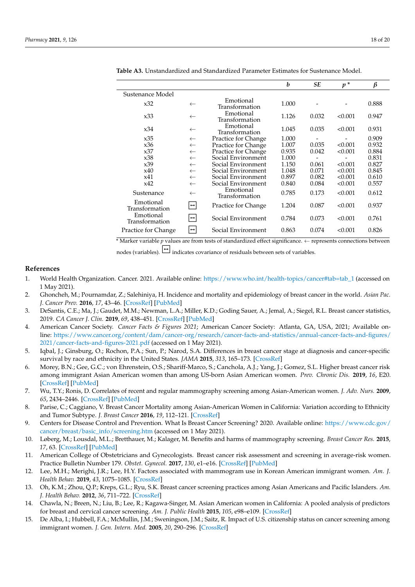|                             |                       |                             | b     | <b>SE</b> | $p^*$   | $\beta$ |  |
|-----------------------------|-----------------------|-----------------------------|-------|-----------|---------|---------|--|
| Sustenance Model            |                       |                             |       |           |         |         |  |
| x32                         | $\leftarrow$          | Emotional<br>Transformation | 1.000 |           |         | 0.888   |  |
| x33                         | $\leftarrow$          | Emotional<br>Transformation | 1.126 | 0.032     | < 0.001 | 0.947   |  |
| x34                         | $\leftarrow$          | Emotional<br>Transformation | 1.045 | 0.035     | < 0.001 | 0.931   |  |
| x35                         | $\leftarrow$          | Practice for Change         | 1.000 |           |         | 0.909   |  |
| x36                         | $\leftarrow$          | Practice for Change         | 1.007 | 0.035     | < 0.001 | 0.932   |  |
| x37                         | $\leftarrow$          | Practice for Change         | 0.935 | 0.042     | < 0.001 | 0.884   |  |
| x38                         | $\leftarrow$          | Social Environment          | 1.000 |           |         | 0.831   |  |
| x39                         | $\leftarrow$          | Social Environment          | 1.150 | 0.061     | < 0.001 | 0.827   |  |
| x40                         | $\leftarrow$          | Social Environment          | 1.048 | 0.071     | < 0.001 | 0.845   |  |
| x41                         | $\leftarrow$          | Social Environment          | 0.897 | 0.082     | < 0.001 | 0.610   |  |
| x42                         | $\leftarrow$          | Social Environment          | 0.840 | 0.084     | < 0.001 | 0.557   |  |
| Sustenance                  | $\leftarrow$          | Emotional<br>Transformation | 0.785 | 0.173     | < 0.001 | 0.612   |  |
| Emotional<br>Transformation | $\boxed{\div}$        | Practice for Change         | 1.204 | 0.087     | < 0.001 | 0.937   |  |
| Emotional<br>Transformation | $\boxed{\div}$        | Social Environment          | 0.784 | 0.073     | < 0.001 | 0.761   |  |
| Practice for Change         | $\boxed{\phantom{0}}$ | Social Environment          | 0.863 | 0.074     | < 0.001 | 0.826   |  |

<span id="page-19-15"></span>**Table A3.** Unstandardized and Standardized Parameter Estimates for Sustenance Model.

™ Marker variable p values are from tests of standardized effect significance. ← represents connections be \* Marker variable  $p$  values are from tests of standardized effect significance.  $\leftarrow$  represents connections between Physical Environment ↔ Advantages 0.257 0.032 <0.001 0.515

 $\log$  (variables). Duriates covariance of residuals between sets of variables. Physical Environment → Distribution of Distribution of Distribution of Vandeles. nodes (variables).  $\Box$  indicates covariance of residuals between sets of variables.

#### **References**

- <span id="page-19-0"></span>\* Marker variable *p* values are from tests of standardized effect significance. ← represents connec1. World Health Organization. Cancer. 2021. Available online: [https://www.who.int/health-topics/cancer#tab=tab\\_1](https://www.who.int/health-topics/cancer#tab=tab_1) (accessed on 1 May 2021).
- <span id="page-19-1"></span>*B b b <i>b se prev.* **2016**, 17, 43–46. [\[CrossRef\]](http://doi.org/10.7314/APJCP.2016.17.S3.43) [\[PubMed\]](http://www.ncbi.nlm.nih.gov/pubmed/27165206) 2. Ghoncheh, M.; Pournamdar, Z.; Salehiniya, H. Incidence and mortality and epidemiology of breast cancer in the world. Asian Pac.
- <span id="page-19-2"></span>0. 2016, 17, 43–40. [CrossRef] [FubMed]<br>E.; Ma, J.; Gaudet, M.M.; Newman, L.A.; Miller, K.D.; Goding Sauer, A.; Jemal, A.; Siegel, R.L. Breast cancer 2019. *CA Cancer J. Clin.* **2019**, 69, 438–451. [\[CrossRef\]](http://doi.org/10.3322/caac.21583) [\[PubMed\]](http://www.ncbi.nlm.nih.gov/pubmed/31577379) 3. DeSantis, C.E.; Ma, J.; Gaudet, M.M.; Newman, L.A.; Miller, K.D.; Goding Sauer, A.; Jemal, A.; Siegel, R.L. Breast cancer statistics,
- <span id="page-19-3"></span>4. American Cancer Society. *Cancer Facts & Figures 2021*; American Cancer Society: Atlanta, GA, USA, 2021; Available onent/dam/cancer-org/research/cancer-racts-and-statistics/annual-cancer-racts-and-n<sub>i</sub> line: [https://www.cancer.org/content/dam/cancer-org/research/cancer-facts-and-statistics/annual-cancer-facts-and-figures/](https://www.cancer.org/content/dam/cancer-org/research/cancer-facts-and-statistics/annual-cancer-facts-and-figures/2021/cancer-facts-and-figures-2021.pdf) [2021/cancer-facts-and-figures-2021.pdf](https://www.cancer.org/content/dam/cancer-org/research/cancer-facts-and-statistics/annual-cancer-facts-and-figures/2021/cancer-facts-and-figures-2021.pdf) (accessed on 1 May 2021).
- <span id="page-19-4"></span>5. Iqbal, J.; Ginsburg, O.; Rochon, P.A.; Sun, P.; Narod, S.A. Differences in breast cancer stage at diagnosis and cancer-specific survival by race and ethnicity in the United States. *JAMA* 2015, 313, 165–173. [CrossRef]
- <span id="page-19-5"></span>stein, O.S.; Shariff-Marco, S.; Canchola, A.J.; Yang, J.; Gomez, S.L. Higher breast canc n women than among US-born Asian American women. *Prev. Chronic Dis.* 2019, 1. x39 ← Social Environment 1.150 0.061 <0.001 0.827 survival by race and emmeny in the Onlied States. *JAMA* 2015, 313, 163–173. [CrossKer]<br>6. Morey, B.N.; Gee, G.C.; von Ehrenstein, O.S.; Shariff-Marco, S.; Canchola, A.J.; Yang, J.; Gomez, S.L. Higher breast cancer risk among immigrant Asian American women than among US-born Asian American women. *Prev. Chronic Dis.* 2019, 16, E20.  $\frac{3}{2}$  $x_{34} = x_{34} + x_{35} + x_{46} + x_{57} + x_{68} + x_{78} + x_{89} + x_{90} + x_{100} + x_{110} + x_{120} + x_{130} + x_{140} + x_{150} + x_{160} + x_{170} + x_{180} + x_{190} + x_{100} + x_{100} + x_{100} + x_{100} + x_{100} + x_{100} + x_{100} + x_{100} + x_{100} + x_{100} + x_{100} + x_{100} + x_{100} + x_{100$ [\[CrossRef\]](http://doi.org/10.5888/pcd16.180221) [\[PubMed\]](http://www.ncbi.nlm.nih.gov/pubmed/30767860)
- <span id="page-19-6"></span>ent and regular manimography screening among Asian-American women. *J. Auv. ivurs*<br>1 7. Wu, T.Y.; Ronis, D. Correlates of recent and regular mammography screening among Asian-American women. J. Adv. Nurs. 2009,  $\frac{3}{2}$  ,  $\frac{3}{2}$  ,  $\frac{3}{2}$  ,  $\frac{3}{2}$  ,  $\frac{3}{2}$  ,  $\frac{3}{2}$  $\frac{3}{3}$  $[PubMed]$ *65*, 2434–2446. [\[CrossRef\]](http://doi.org/10.1111/j.1365-2648.2009.05112.x) [\[PubMed\]](http://www.ncbi.nlm.nih.gov/pubmed/19761457)
- <span id="page-19-7"></span>ינ<br>cer Mortality among Asian-American Women in California: Variation according to Eth and Tumor Subtype. *J. Breast Cancer* 2016, 19, 112–121. [\[CrossRef\]](http://doi.org/10.4048/jbc.2016.19.2.112) cer Mortality among Asian-American Women in California: Variation according to Eth 8. Parise, C.; Caggiano, V. Breast Cancer Mortality among Asian-American Women in California: Variation according to Ethnicity<br>1946 - Parise C. H. Level J. Breat Cancer 2016, 10, 112, 121, I.C. exp. 2.4
- <span id="page-19-8"></span>d Prevention. What Is Breast Cancer Screening? 2020. Available online: https://www.cd [cancer/breast/basic\\_info/screening.htm](https://www.cdc.gov/cancer/breast/basic_info/screening.htm) (accessed on 1 May 2021). and Tumor Subtype. *J. breast Cancer 2016, 19, 112*–121. [CrossNer]<br>9. Centers for Disease Control and Prevention. What Is Breast Cancer Screening? 2020. Available online: [https://www.cdc.gov/](https://www.cdc.gov/cancer/breast/basic_info/screening.htm)
- <span id="page-19-9"></span>H.L.; Bretthauer, M.; Kalager, M. Benefits and narms of mammography screening. *Breast Cancer Kes* dancer/breast/basic\_nub/screening.htm (accessed on 1 May 2021).<br>10. Løberg, M.; Lousdal, M.L.; Bretthauer, M.; Kalager, M. Benefits and harms of mammography screening. *Breast Cancer Res*. 2015,  $M_{\text{ed}}$  $\mathop{\rm id}\nolimits$ *17*, 63. [\[CrossRef\]](http://doi.org/10.1186/s13058-015-0525-z) [\[PubMed\]](http://www.ncbi.nlm.nih.gov/pubmed/25928287)
- <span id="page-19-10"></span>11. American College of Obstetricians and Gynecologists. Breast cancer risk assessment and screening in average-risk women. Practice Bulletin Number 179. Obstet. Gynecol. 2017, 130, e1–e16. [CrossRef] [PubMed] Sustenance ← Emotional Transformation 0.785 0.173 <0.001 0.612
- <span id="page-19-11"></span>R.; Lee, H.Y. Factors associated with mammogram use in Korean American immigrant women. tions between nodes (variables). ↔ indicates covariance of residuals between sets of variables. *Health Behav.* **2019**, *43*, 1075–1085. [\[CrossRef\]](http://doi.org/10.5993/AJHB.43.6.6) 12. Lee, M.H.; Merighi, J.R.; Lee, H.Y. Factors associated with mammogram use in Korean American immigrant women. *Am.* J.<br>Health Behan **2019** 43 1075–1085 ICrossRefl
- <span id="page-19-12"></span>13. Oh. K.M.: Zhou. O.P.: Kreps. G.L.: Ryu. S.K. Breast cancer screening practices among Asian Americans and Pacific Islande J. Health Behav. 2012, 36, 711–722. [CrossRef]  $t_0$   $t_1$   $t_2$   $t_3$   $t_4$   $t_5$   $t_6$   $t_7$   $t_8$   $t_7$   $t_8$   $t_9$   $t_8$   $t_9$   $t_9$   $t_8$   $t_9$   $t_9$   $t_9$   $t_9$   $t_9$   $t_9$   $t_9$   $t_9$   $t_9$   $t_9$   $t_9$   $t_9$   $t_9$   $t_9$   $t_9$   $t_9$   $t_9$   $t_9$   $t_9$   $t_9$   $t_9$ 13. Oh, K.M.; Zhou, Q.P.; Kreps, G.L.; Ryu, S.K. Breast cancer screening practices among Asian Americans and Pacific Islanders. Am.
- <span id="page-19-13"></span>r. Heattr.<br>14. Chawla for breast and cervical cancer screening. Am. J. Public Health 2015, 105, e98-e109. [CrossRef] 14. Chawla, N.; Breen, N.; Liu, B.; Lee, R.; Kagawa-Singer, M. Asian American women in California: A pooled analysis of predictors
- <span id="page-19-14"></span>15. De Alba, I.; Hubbell, F.A.; McMullin, J.M.; Sweningson, J.M.; Saitz, R. Impact of U.S. citizenship status on cancer screening among immigrant women. J. Gen. Intern. Med. 2005, 20, 290-296. [CrossRef] *Pac. J. Cancer Prev.* **2016**, *17*, 43–46, doi:10.7314/apjcp.2016.17.s3.43.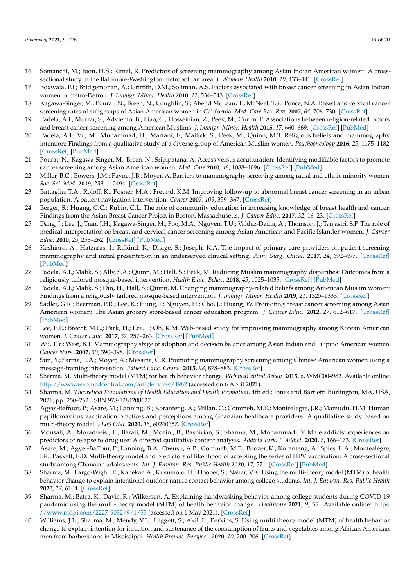- <span id="page-20-0"></span>16. Somanchi, M.; Juon, H.S.; Rimal, R. Predictors of screening mammography among Asian Indian American women: A crosssectional study in the Baltimore-Washington metropolitan area. *J. Womens Health* **2010**, *19*, 433–441. [\[CrossRef\]](http://doi.org/10.1089/jwh.2008.0873)
- <span id="page-20-1"></span>17. Boxwala, F.I.; Bridgemohan, A.; Griffith, D.M.; Soliman, A.S. Factors associated with breast cancer screening in Asian Indian women in metro-Detroit. *J. Immigr. Minor. Health* **2010**, *12*, 534–543. [\[CrossRef\]](http://doi.org/10.1007/s10903-009-9277-0)
- 18. Kagawa-Singer, M.; Pourat, N.; Breen, N.; Coughlin, S.; Abend McLean, T.; McNeel, T.S.; Ponce, N.A. Breast and cervical cancer screening rates of subgroups of Asian American women in California. *Med. Care Res. Rev.* **2007**, *64*, 706–730. [\[CrossRef\]](http://doi.org/10.1177/1077558707304638)
- <span id="page-20-2"></span>19. Padela, A.I.; Murrar, S.; Adviento, B.; Liao, C.; Hosseinian, Z.; Peek, M.; Curlin, F. Associations between religion-related factors and breast cancer screening among American Muslims. *J. Immigr. Minor. Health* **2015**, *17*, 660–669. [\[CrossRef\]](http://doi.org/10.1007/s10903-014-0014-y) [\[PubMed\]](http://www.ncbi.nlm.nih.gov/pubmed/24700026)
- <span id="page-20-3"></span>20. Padela, A.I.; Vu, M.; Muhammad, H.; Marfani, F.; Mallick, S.; Peek, M.; Quinn, M.T. Religious beliefs and mammography intention: Findings from a qualitative study of a diverse group of American Muslim women. *Psychooncology* **2016**, *25*, 1175–1182. [\[CrossRef\]](http://doi.org/10.1002/pon.4216) [\[PubMed\]](http://www.ncbi.nlm.nih.gov/pubmed/27424488)
- <span id="page-20-4"></span>21. Pourat, N.; Kagawa-Singer, M.; Breen, N.; Sripipatana, A. Access versus acculturation: Identifying modifiable factors to promote cancer screening among Asian American women. *Med. Care* **2010**, *48*, 1088–1096. [\[CrossRef\]](http://doi.org/10.1097/MLR.0b013e3181f53542) [\[PubMed\]](http://www.ncbi.nlm.nih.gov/pubmed/20966779)
- <span id="page-20-5"></span>22. Miller, B.C.; Bowers, J.M.; Payne, J.B.; Moyer, A. Barriers to mammography screening among racial and ethnic minority women. *Soc. Sci. Med.* **2019**, *239*, 112494. [\[CrossRef\]](http://doi.org/10.1016/j.socscimed.2019.112494)
- <span id="page-20-6"></span>23. Battaglia, T.A.; Roloff, K.; Posner, M.A.; Freund, K.M. Improving follow-up to abnormal breast cancer screening in an urban population. A patient navigation intervention. *Cancer* **2007**, *109*, 359–367. [\[CrossRef\]](http://doi.org/10.1002/cncr.22354)
- <span id="page-20-7"></span>24. Berger, S.; Huang, C.C.; Rubin, C.L. The role of community education in increasing knowledge of breast health and cancer: Findings from the Asian Breast Cancer Project in Boston, Massachusetts. *J. Cancer Educ.* **2017**, *32*, 16–23. [\[CrossRef\]](http://doi.org/10.1007/s13187-015-0911-3)
- <span id="page-20-8"></span>25. Dang, J.; Lee, J.; Tran, J.H.; Kagawa-Singer, M.; Foo, M.A.; Nguyen, T.U.; Valdez-Dadia, A.; Thomson, J.; Tanjasiri, S.P. The role of medical interpretation on breast and cervical cancer screening among Asian American and Pacific Islander women. *J. Cancer Educ.* **2010**, *25*, 253–262. [\[CrossRef\]](http://doi.org/10.1007/s13187-010-0074-1) [\[PubMed\]](http://www.ncbi.nlm.nih.gov/pubmed/20352398)
- <span id="page-20-9"></span>26. Keshinro, A.; Hatzaras, I.; Rifkind, K.; Dhage, S.; Joseph, K.A. The impact of primary care providers on patient screening mammography and initial presentation in an underserved clinical setting. *Ann. Surg. Oncol.* **2017**, *24*, 692–697. [\[CrossRef\]](http://doi.org/10.1245/s10434-016-5618-0) [\[PubMed\]](http://www.ncbi.nlm.nih.gov/pubmed/27766557)
- <span id="page-20-10"></span>27. Padela, A.I.; Malik, S.; Ally, S.A.; Quinn, M.; Hall, S.; Peek, M. Reducing Muslim mammography disparities: Outcomes from a religiously tailored mosque-based intervention. *Health Educ. Behav.* **2018**, *45*, 1025–1035. [\[CrossRef\]](http://doi.org/10.1177/1090198118769371) [\[PubMed\]](http://www.ncbi.nlm.nih.gov/pubmed/29673255)
- <span id="page-20-11"></span>28. Padela, A.I.; Malik, S.; Din, H.; Hall, S.; Quinn, M. Changing mammography-related beliefs among American Muslim women: Findings from a religiously tailored mosque-based intervention. *J. Immigr. Minor. Health* **2019**, *21*, 1325–1333. [\[CrossRef\]](http://doi.org/10.1007/s10903-018-00851-9)
- <span id="page-20-12"></span>29. Sadler, G.R.; Beerman, P.R.; Lee, K.; Hung, J.; Nguyen, H.; Cho, J.; Huang, W. Promoting breast cancer screening among Asian American women: The Asian grocery store-based cancer education program. *J. Cancer Educ.* **2012**, *27*, 612–617. [\[CrossRef\]](http://doi.org/10.1007/s13187-012-0419-z) [\[PubMed\]](http://www.ncbi.nlm.nih.gov/pubmed/23055131)
- <span id="page-20-13"></span>30. Lee, E.E.; Brecht, M.L.; Park, H.; Lee, J.; Oh, K.M. Web-based study for improving mammography among Korean American women. *J. Cancer Educ.* **2017**, *32*, 257–263. [\[CrossRef\]](http://doi.org/10.1007/s13187-015-0920-2) [\[PubMed\]](http://www.ncbi.nlm.nih.gov/pubmed/26423058)
- <span id="page-20-14"></span>31. Wu, T.Y.; West, B.T. Mammography stage of adoption and decision balance among Asian Indian and Filipino American women. *Cancer Nurs.* **2007**, *30*, 390–398. [\[CrossRef\]](http://doi.org/10.1097/01.NCC.0000290812.14571.2c)
- <span id="page-20-15"></span>32. Sun, Y.; Sarma, E.A.; Moyer, A.; Messina, C.R. Promoting mammography screening among Chinese American women using a message-framing intervention. *Patient Educ. Couns.* **2015**, *98*, 878–883. [\[CrossRef\]](http://doi.org/10.1016/j.pec.2015.03.021)
- <span id="page-20-16"></span>33. Sharma, M. Multi-theory model (MTM) for health behavior change. *WebmedCentral Behav.* **2015**, *6*, WMC004982. Available online: [http://www.webmedcentral.com/article\\_view/4982](http://www.webmedcentral.com/article_view/4982) (accessed on 6 April 2021).
- <span id="page-20-17"></span>34. Sharma, M. *Theoretical Foundations of Health Education and Health Promotion*, 4th ed.; Jones and Bartlett: Burlington, MA, USA, 2021; pp. 250–262. ISBN 978-1284208627.
- <span id="page-20-18"></span>35. Agyei-Baffour, P.; Asare, M.; Lanning, B.; Koranteng, A.; Millan, C.; Commeh, M.E.; Montealegre, J.R.; Mamudu, H.M. Human papillomavirus vaccination practices and perceptions among Ghanaian healthcare providers: A qualitative study based on multi-theory model. *PLoS ONE* **2020**, *15*, e0240657. [\[CrossRef\]](http://doi.org/10.1371/journal.pone.0240657)
- <span id="page-20-19"></span>36. Mousali, A.; Moradveisi, L.; Barati, M.; Moeini, B.; Bashirian, S.; Sharma, M.; Mohammadi, Y. Male addicts' experiences on predictors of relapse to drug use: A directed qualitative content analysis. *Addicta Turk. J. Addict.* **2020**, *7*, 166–173. [\[CrossRef\]](http://doi.org/10.5152/ADDICTA.2020.20039)
- <span id="page-20-20"></span>37. Asare, M.; Agyei-Baffour, P.; Lanning, B.A.; Owusu, A.B.; Commeh, M.E.; Boozer, K.; Koranteng, A.; Spies, L.A.; Montealegre, J.R.; Paskett, E.D. Multi-theory model and predictors of likelihood of accepting the series of HPV vaccination: A cross-sectional study among Ghanaian adolescents. *Int. J. Environ. Res. Public Health* **2020**, *17*, 571. [\[CrossRef\]](http://doi.org/10.3390/ijerph17020571) [\[PubMed\]](http://www.ncbi.nlm.nih.gov/pubmed/31963127)
- <span id="page-20-22"></span>38. Sharma, M.; Largo-Wight, E.; Kanekar, A.; Kusumoto, H.; Hooper, S.; Nahar, V.K. Using the multi-theory model (MTM) of health behavior change to explain intentional outdoor nature contact behavior among college students. *Int. J. Environ. Res. Public Health* **2020**, *17*, 6104. [\[CrossRef\]](http://doi.org/10.3390/ijerph17176104)
- <span id="page-20-23"></span>39. Sharma, M.; Batra, K.; Davis, R.; Wilkerson, A. Explaining handwashing behavior among college students during COVID-19 pandemic using the multi-theory model (MTM) of health behavior change. *Healthcare* **2021**, *9*, 55. Available online: [https:](https://www.mdpi.com/2227-9032/9/1/55) [//www.mdpi.com/2227-9032/9/1/55](https://www.mdpi.com/2227-9032/9/1/55) (accessed on 1 May 2021). [\[CrossRef\]](http://doi.org/10.3390/healthcare9010055)
- <span id="page-20-21"></span>40. Williams, J.L.; Sharma, M.; Mendy, V.L.; Leggett, S.; Akil, L.; Perkins, S. Using multi theory model (MTM) of health behavior change to explain intention for initiation and sustenance of the consumption of fruits and vegetables among African American men from barbershops in Mississippi. *Health Promot. Perspect.* **2020**, *10*, 200–206. [\[CrossRef\]](http://doi.org/10.34172/hpp.2020.33)